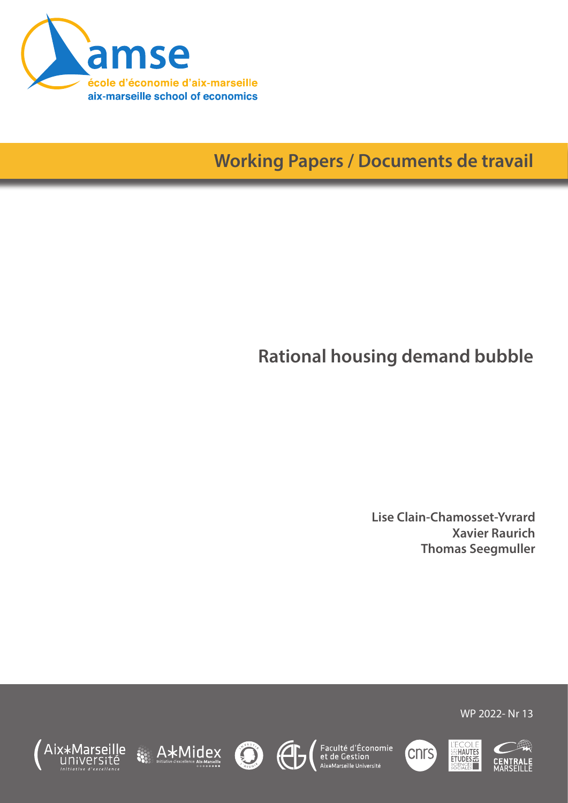

# **Working Papers / Documents de travail**

# **Rational housing demand bubble**

**Lise Clain-Chamosset-Yvrard Xavier Raurich Thomas Seegmuller**

WP 2022- Nr 13











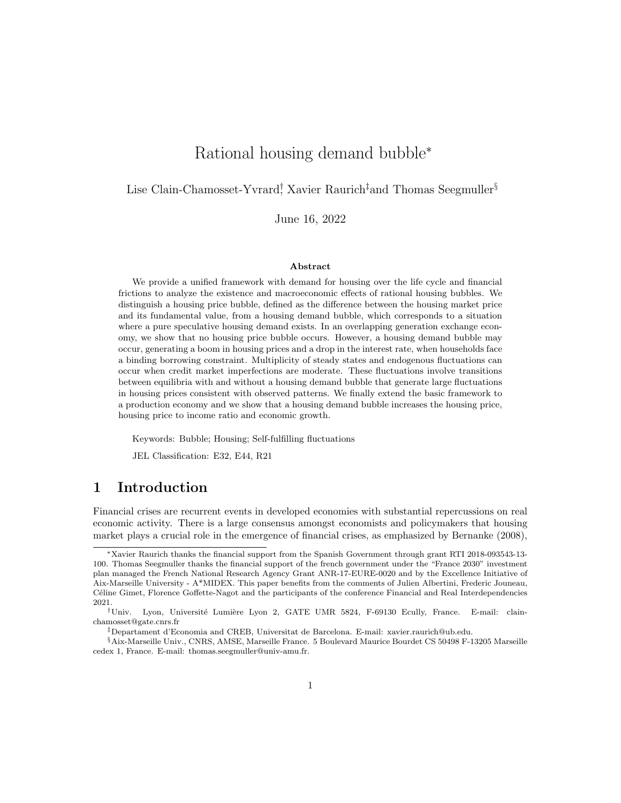# Rational housing demand bubble<sup>∗</sup>

Lise Clain-Chamosset-Yvrard<sup>†</sup> Xavier Raurich<sup>‡</sup>and Thomas Seegmuller<sup>§</sup>

June 16, 2022

#### Abstract

We provide a unified framework with demand for housing over the life cycle and financial frictions to analyze the existence and macroeconomic effects of rational housing bubbles. We distinguish a housing price bubble, defined as the difference between the housing market price and its fundamental value, from a housing demand bubble, which corresponds to a situation where a pure speculative housing demand exists. In an overlapping generation exchange economy, we show that no housing price bubble occurs. However, a housing demand bubble may occur, generating a boom in housing prices and a drop in the interest rate, when households face a binding borrowing constraint. Multiplicity of steady states and endogenous fluctuations can occur when credit market imperfections are moderate. These fluctuations involve transitions between equilibria with and without a housing demand bubble that generate large fluctuations in housing prices consistent with observed patterns. We finally extend the basic framework to a production economy and we show that a housing demand bubble increases the housing price, housing price to income ratio and economic growth.

Keywords: Bubble; Housing; Self-fulfilling fluctuations

JEL Classification: E32, E44, R21

# 1 Introduction

Financial crises are recurrent events in developed economies with substantial repercussions on real economic activity. There is a large consensus amongst economists and policymakers that housing market plays a crucial role in the emergence of financial crises, as emphasized by Bernanke (2008),

<sup>∗</sup>Xavier Raurich thanks the financial support from the Spanish Government through grant RTI 2018-093543-13- 100. Thomas Seegmuller thanks the financial support of the french government under the "France 2030" investment plan managed the French National Research Agency Grant ANR-17-EURE-0020 and by the Excellence Initiative of Aix-Marseille University - A\*MIDEX. This paper benefits from the comments of Julien Albertini, Frederic Jouneau, Céline Gimet, Florence Goffette-Nagot and the participants of the conference Financial and Real Interdependencies 2021.

<sup>†</sup>Univ. Lyon, Universit´e Lumi`ere Lyon 2, GATE UMR 5824, F-69130 Ecully, France. E-mail: clainchamosset@gate.cnrs.fr

<sup>‡</sup>Departament d'Economia and CREB, Universitat de Barcelona. E-mail: xavier.raurich@ub.edu.

<sup>§</sup>Aix-Marseille Univ., CNRS, AMSE, Marseille France. 5 Boulevard Maurice Bourdet CS 50498 F-13205 Marseille cedex 1, France. E-mail: thomas.seegmuller@univ-amu.fr.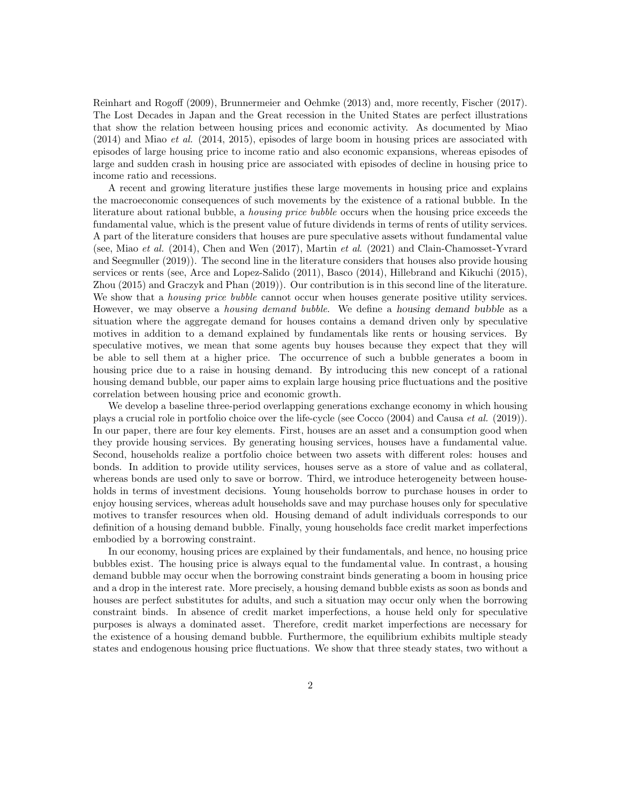Reinhart and Rogoff (2009), Brunnermeier and Oehmke (2013) and, more recently, Fischer (2017). The Lost Decades in Japan and the Great recession in the United States are perfect illustrations that show the relation between housing prices and economic activity. As documented by Miao (2014) and Miao et al. (2014, 2015), episodes of large boom in housing prices are associated with episodes of large housing price to income ratio and also economic expansions, whereas episodes of large and sudden crash in housing price are associated with episodes of decline in housing price to income ratio and recessions.

A recent and growing literature justifies these large movements in housing price and explains the macroeconomic consequences of such movements by the existence of a rational bubble. In the literature about rational bubble, a housing price bubble occurs when the housing price exceeds the fundamental value, which is the present value of future dividends in terms of rents of utility services. A part of the literature considers that houses are pure speculative assets without fundamental value (see, Miao et al. (2014), Chen and Wen (2017), Martin et al. (2021) and Clain-Chamosset-Yvrard and Seegmuller (2019)). The second line in the literature considers that houses also provide housing services or rents (see, Arce and Lopez-Salido (2011), Basco (2014), Hillebrand and Kikuchi (2015), Zhou (2015) and Graczyk and Phan (2019)). Our contribution is in this second line of the literature. We show that a *housing price bubble* cannot occur when houses generate positive utility services. However, we may observe a housing demand bubble. We define a housing demand bubble as a situation where the aggregate demand for houses contains a demand driven only by speculative motives in addition to a demand explained by fundamentals like rents or housing services. By speculative motives, we mean that some agents buy houses because they expect that they will be able to sell them at a higher price. The occurrence of such a bubble generates a boom in housing price due to a raise in housing demand. By introducing this new concept of a rational housing demand bubble, our paper aims to explain large housing price fluctuations and the positive correlation between housing price and economic growth.

We develop a baseline three-period overlapping generations exchange economy in which housing plays a crucial role in portfolio choice over the life-cycle (see Cocco (2004) and Causa et al. (2019)). In our paper, there are four key elements. First, houses are an asset and a consumption good when they provide housing services. By generating housing services, houses have a fundamental value. Second, households realize a portfolio choice between two assets with different roles: houses and bonds. In addition to provide utility services, houses serve as a store of value and as collateral, whereas bonds are used only to save or borrow. Third, we introduce heterogeneity between households in terms of investment decisions. Young households borrow to purchase houses in order to enjoy housing services, whereas adult households save and may purchase houses only for speculative motives to transfer resources when old. Housing demand of adult individuals corresponds to our definition of a housing demand bubble. Finally, young households face credit market imperfections embodied by a borrowing constraint.

In our economy, housing prices are explained by their fundamentals, and hence, no housing price bubbles exist. The housing price is always equal to the fundamental value. In contrast, a housing demand bubble may occur when the borrowing constraint binds generating a boom in housing price and a drop in the interest rate. More precisely, a housing demand bubble exists as soon as bonds and houses are perfect substitutes for adults, and such a situation may occur only when the borrowing constraint binds. In absence of credit market imperfections, a house held only for speculative purposes is always a dominated asset. Therefore, credit market imperfections are necessary for the existence of a housing demand bubble. Furthermore, the equilibrium exhibits multiple steady states and endogenous housing price fluctuations. We show that three steady states, two without a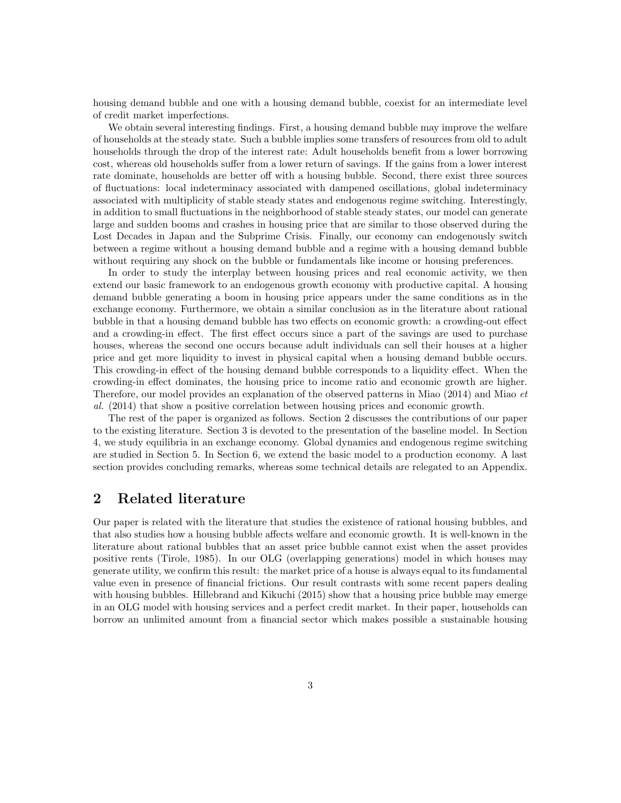housing demand bubble and one with a housing demand bubble, coexist for an intermediate level of credit market imperfections.

We obtain several interesting findings. First, a housing demand bubble may improve the welfare of households at the steady state. Such a bubble implies some transfers of resources from old to adult households through the drop of the interest rate: Adult households benefit from a lower borrowing cost, whereas old households suffer from a lower return of savings. If the gains from a lower interest rate dominate, households are better off with a housing bubble. Second, there exist three sources of fluctuations: local indeterminacy associated with dampened oscillations, global indeterminacy associated with multiplicity of stable steady states and endogenous regime switching. Interestingly, in addition to small fluctuations in the neighborhood of stable steady states, our model can generate large and sudden booms and crashes in housing price that are similar to those observed during the Lost Decades in Japan and the Subprime Crisis. Finally, our economy can endogenously switch between a regime without a housing demand bubble and a regime with a housing demand bubble without requiring any shock on the bubble or fundamentals like income or housing preferences.

In order to study the interplay between housing prices and real economic activity, we then extend our basic framework to an endogenous growth economy with productive capital. A housing demand bubble generating a boom in housing price appears under the same conditions as in the exchange economy. Furthermore, we obtain a similar conclusion as in the literature about rational bubble in that a housing demand bubble has two effects on economic growth: a crowding-out effect and a crowding-in effect. The first effect occurs since a part of the savings are used to purchase houses, whereas the second one occurs because adult individuals can sell their houses at a higher price and get more liquidity to invest in physical capital when a housing demand bubble occurs. This crowding-in effect of the housing demand bubble corresponds to a liquidity effect. When the crowding-in effect dominates, the housing price to income ratio and economic growth are higher. Therefore, our model provides an explanation of the observed patterns in Miao (2014) and Miao et al. (2014) that show a positive correlation between housing prices and economic growth.

The rest of the paper is organized as follows. Section 2 discusses the contributions of our paper to the existing literature. Section 3 is devoted to the presentation of the baseline model. In Section 4, we study equilibria in an exchange economy. Global dynamics and endogenous regime switching are studied in Section 5. In Section 6, we extend the basic model to a production economy. A last section provides concluding remarks, whereas some technical details are relegated to an Appendix.

# 2 Related literature

Our paper is related with the literature that studies the existence of rational housing bubbles, and that also studies how a housing bubble affects welfare and economic growth. It is well-known in the literature about rational bubbles that an asset price bubble cannot exist when the asset provides positive rents (Tirole, 1985). In our OLG (overlapping generations) model in which houses may generate utility, we confirm this result: the market price of a house is always equal to its fundamental value even in presence of financial frictions. Our result contrasts with some recent papers dealing with housing bubbles. Hillebrand and Kikuchi (2015) show that a housing price bubble may emerge in an OLG model with housing services and a perfect credit market. In their paper, households can borrow an unlimited amount from a financial sector which makes possible a sustainable housing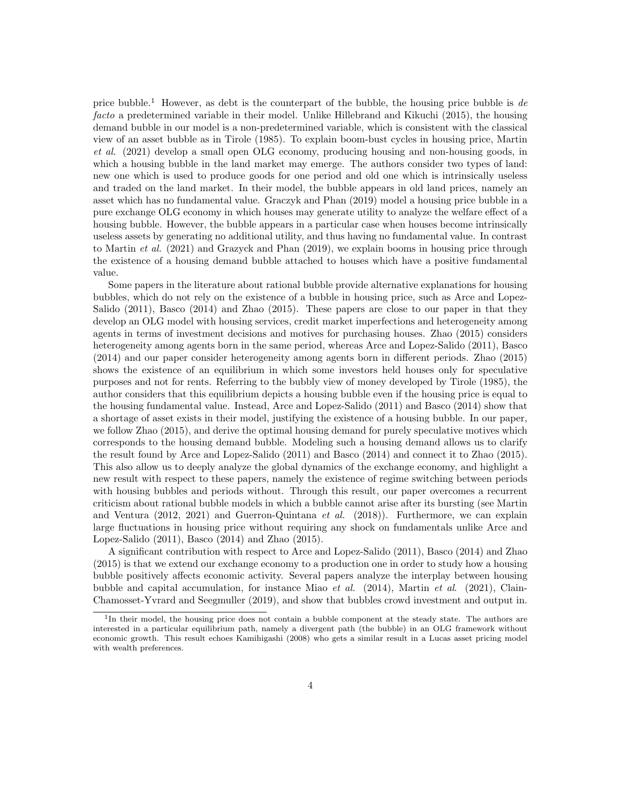price bubble.<sup>1</sup> However, as debt is the counterpart of the bubble, the housing price bubble is de facto a predetermined variable in their model. Unlike Hillebrand and Kikuchi (2015), the housing demand bubble in our model is a non-predetermined variable, which is consistent with the classical view of an asset bubble as in Tirole (1985). To explain boom-bust cycles in housing price, Martin et al. (2021) develop a small open OLG economy, producing housing and non-housing goods, in which a housing bubble in the land market may emerge. The authors consider two types of land: new one which is used to produce goods for one period and old one which is intrinsically useless and traded on the land market. In their model, the bubble appears in old land prices, namely an asset which has no fundamental value. Graczyk and Phan (2019) model a housing price bubble in a pure exchange OLG economy in which houses may generate utility to analyze the welfare effect of a housing bubble. However, the bubble appears in a particular case when houses become intrinsically useless assets by generating no additional utility, and thus having no fundamental value. In contrast to Martin *et al.* (2021) and Grazyck and Phan (2019), we explain booms in housing price through the existence of a housing demand bubble attached to houses which have a positive fundamental value.

Some papers in the literature about rational bubble provide alternative explanations for housing bubbles, which do not rely on the existence of a bubble in housing price, such as Arce and Lopez-Salido (2011), Basco (2014) and Zhao (2015). These papers are close to our paper in that they develop an OLG model with housing services, credit market imperfections and heterogeneity among agents in terms of investment decisions and motives for purchasing houses. Zhao (2015) considers heterogeneity among agents born in the same period, whereas Arce and Lopez-Salido (2011), Basco (2014) and our paper consider heterogeneity among agents born in different periods. Zhao (2015) shows the existence of an equilibrium in which some investors held houses only for speculative purposes and not for rents. Referring to the bubbly view of money developed by Tirole (1985), the author considers that this equilibrium depicts a housing bubble even if the housing price is equal to the housing fundamental value. Instead, Arce and Lopez-Salido (2011) and Basco (2014) show that a shortage of asset exists in their model, justifying the existence of a housing bubble. In our paper, we follow Zhao (2015), and derive the optimal housing demand for purely speculative motives which corresponds to the housing demand bubble. Modeling such a housing demand allows us to clarify the result found by Arce and Lopez-Salido (2011) and Basco (2014) and connect it to Zhao (2015). This also allow us to deeply analyze the global dynamics of the exchange economy, and highlight a new result with respect to these papers, namely the existence of regime switching between periods with housing bubbles and periods without. Through this result, our paper overcomes a recurrent criticism about rational bubble models in which a bubble cannot arise after its bursting (see Martin and Ventura  $(2012, 2021)$  and Guerron-Quintana *et al.*  $(2018)$ ). Furthermore, we can explain large fluctuations in housing price without requiring any shock on fundamentals unlike Arce and Lopez-Salido (2011), Basco (2014) and Zhao (2015).

A significant contribution with respect to Arce and Lopez-Salido (2011), Basco (2014) and Zhao (2015) is that we extend our exchange economy to a production one in order to study how a housing bubble positively affects economic activity. Several papers analyze the interplay between housing bubble and capital accumulation, for instance Miao *et al.* (2014), Martin *et al.* (2021), Clain-Chamosset-Yvrard and Seegmuller (2019), and show that bubbles crowd investment and output in.

<sup>&</sup>lt;sup>1</sup>In their model, the housing price does not contain a bubble component at the steady state. The authors are interested in a particular equilibrium path, namely a divergent path (the bubble) in an OLG framework without economic growth. This result echoes Kamihigashi (2008) who gets a similar result in a Lucas asset pricing model with wealth preferences.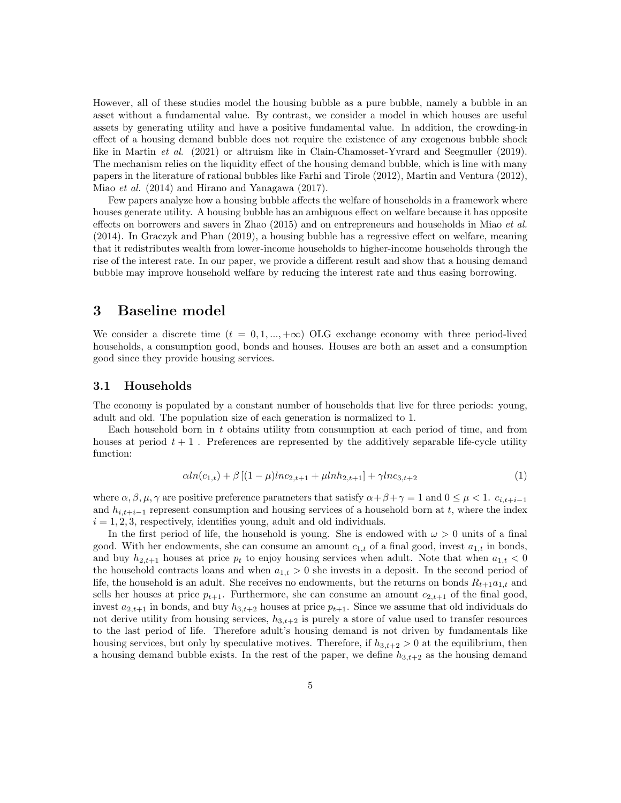However, all of these studies model the housing bubble as a pure bubble, namely a bubble in an asset without a fundamental value. By contrast, we consider a model in which houses are useful assets by generating utility and have a positive fundamental value. In addition, the crowding-in effect of a housing demand bubble does not require the existence of any exogenous bubble shock like in Martin et al. (2021) or altruism like in Clain-Chamosset-Yvrard and Seegmuller (2019). The mechanism relies on the liquidity effect of the housing demand bubble, which is line with many papers in the literature of rational bubbles like Farhi and Tirole (2012), Martin and Ventura (2012), Miao et al. (2014) and Hirano and Yanagawa (2017).

Few papers analyze how a housing bubble affects the welfare of households in a framework where houses generate utility. A housing bubble has an ambiguous effect on welfare because it has opposite effects on borrowers and savers in Zhao (2015) and on entrepreneurs and households in Miao et al. (2014). In Graczyk and Phan (2019), a housing bubble has a regressive effect on welfare, meaning that it redistributes wealth from lower-income households to higher-income households through the rise of the interest rate. In our paper, we provide a different result and show that a housing demand bubble may improve household welfare by reducing the interest rate and thus easing borrowing.

## 3 Baseline model

We consider a discrete time  $(t = 0, 1, ..., +\infty)$  OLG exchange economy with three period-lived households, a consumption good, bonds and houses. Houses are both an asset and a consumption good since they provide housing services.

## 3.1 Households

The economy is populated by a constant number of households that live for three periods: young, adult and old. The population size of each generation is normalized to 1.

Each household born in t obtains utility from consumption at each period of time, and from houses at period  $t + 1$ . Preferences are represented by the additively separable life-cycle utility function:

$$
\alpha ln(c_{1,t}) + \beta [(1-\mu)lnc_{2,t+1} + \mu lnh_{2,t+1}] + \gamma lnc_{3,t+2}
$$
\n(1)

where  $\alpha, \beta, \mu, \gamma$  are positive preference parameters that satisfy  $\alpha + \beta + \gamma = 1$  and  $0 \leq \mu < 1$ .  $c_{i,t+i-1}$ and  $h_{i,t+i-1}$  represent consumption and housing services of a household born at t, where the index  $i = 1, 2, 3$ , respectively, identifies young, adult and old individuals.

In the first period of life, the household is young. She is endowed with  $\omega > 0$  units of a final good. With her endowments, she can consume an amount  $c_{1,t}$  of a final good, invest  $a_{1,t}$  in bonds, and buy  $h_{2,t+1}$  houses at price  $p_t$  to enjoy housing services when adult. Note that when  $a_{1,t} < 0$ the household contracts loans and when  $a_{1,t} > 0$  she invests in a deposit. In the second period of life, the household is an adult. She receives no endowments, but the returns on bonds  $R_{t+1}a_{1,t}$  and sells her houses at price  $p_{t+1}$ . Furthermore, she can consume an amount  $c_{2,t+1}$  of the final good, invest  $a_{2,t+1}$  in bonds, and buy  $h_{3,t+2}$  houses at price  $p_{t+1}$ . Since we assume that old individuals do not derive utility from housing services,  $h_{3,t+2}$  is purely a store of value used to transfer resources to the last period of life. Therefore adult's housing demand is not driven by fundamentals like housing services, but only by speculative motives. Therefore, if  $h_{3,t+2} > 0$  at the equilibrium, then a housing demand bubble exists. In the rest of the paper, we define  $h_{3,t+2}$  as the housing demand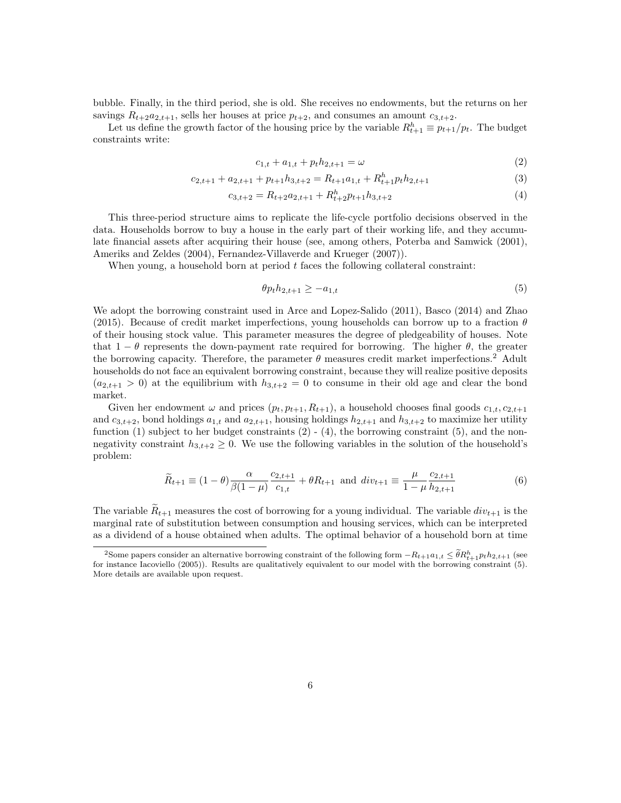bubble. Finally, in the third period, she is old. She receives no endowments, but the returns on her savings  $R_{t+2}a_{2,t+1}$ , sells her houses at price  $p_{t+2}$ , and consumes an amount  $c_{3,t+2}$ .

Let us define the growth factor of the housing price by the variable  $R_{t+1}^h \equiv p_{t+1}/p_t$ . The budget constraints write:

$$
c_{1,t} + a_{1,t} + p_t h_{2,t+1} = \omega \tag{2}
$$

$$
c_{2,t+1} + a_{2,t+1} + p_{t+1}h_{3,t+2} = R_{t+1}a_{1,t} + R_{t+1}^h p_t h_{2,t+1}
$$
\n
$$
\tag{3}
$$

$$
c_{3,t+2} = R_{t+2}a_{2,t+1} + R_{t+2}^h p_{t+1}h_{3,t+2}
$$
\n<sup>(4)</sup>

This three-period structure aims to replicate the life-cycle portfolio decisions observed in the data. Households borrow to buy a house in the early part of their working life, and they accumulate financial assets after acquiring their house (see, among others, Poterba and Samwick (2001), Ameriks and Zeldes (2004), Fernandez-Villaverde and Krueger (2007)).

When young, a household born at period  $t$  faces the following collateral constraint:

$$
\theta p_t h_{2,t+1} \ge -a_{1,t} \tag{5}
$$

We adopt the borrowing constraint used in Arce and Lopez-Salido (2011), Basco (2014) and Zhao (2015). Because of credit market imperfections, young households can borrow up to a fraction  $\theta$ of their housing stock value. This parameter measures the degree of pledgeability of houses. Note that  $1 - \theta$  represents the down-payment rate required for borrowing. The higher  $\theta$ , the greater the borrowing capacity. Therefore, the parameter  $\theta$  measures credit market imperfections.<sup>2</sup> Adult households do not face an equivalent borrowing constraint, because they will realize positive deposits  $(a_{2,t+1} > 0)$  at the equilibrium with  $h_{3,t+2} = 0$  to consume in their old age and clear the bond market.

Given her endowment  $\omega$  and prices  $(p_t, p_{t+1}, R_{t+1})$ , a household chooses final goods  $c_{1,t}, c_{2,t+1}$ and  $c_{3,t+2}$ , bond holdings  $a_{1,t}$  and  $a_{2,t+1}$ , housing holdings  $h_{2,t+1}$  and  $h_{3,t+2}$  to maximize her utility function (1) subject to her budget constraints  $(2)$  -  $(4)$ , the borrowing constraint  $(5)$ , and the nonnegativity constraint  $h_{3,t+2} \geq 0$ . We use the following variables in the solution of the household's problem:

$$
\widetilde{R}_{t+1} \equiv (1 - \theta) \frac{\alpha}{\beta (1 - \mu)} \frac{c_{2,t+1}}{c_{1,t}} + \theta R_{t+1} \text{ and } div_{t+1} \equiv \frac{\mu}{1 - \mu} \frac{c_{2,t+1}}{h_{2,t+1}} \tag{6}
$$

The variable  $\tilde{R}_{t+1}$  measures the cost of borrowing for a young individual. The variable  $div_{t+1}$  is the marginal rate of substitution between consumption and housing services, which can be interpreted as a dividend of a house obtained when adults. The optimal behavior of a household born at time

<sup>&</sup>lt;sup>2</sup>Some papers consider an alternative borrowing constraint of the following form  $-R_{t+1}a_{1,t} \leq \tilde{\theta}R_{t+1}^h p_th_{2,t+1}$  (see for instance Iacoviello (2005)). Results are qualitatively equivalent to our model with the borrowing constraint (5). More details are available upon request.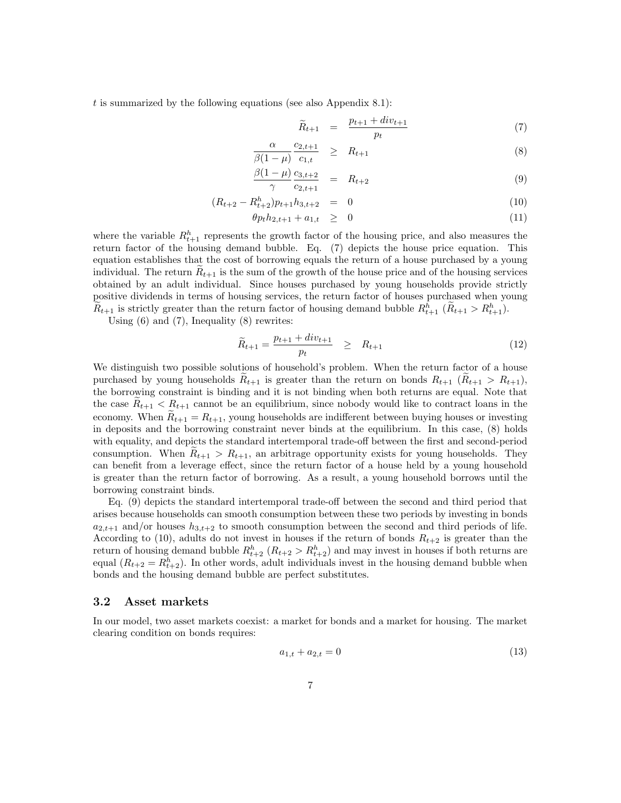t is summarized by the following equations (see also Appendix 8.1):

$$
\widetilde{R}_{t+1} = \frac{p_{t+1} + div_{t+1}}{p_t} \tag{7}
$$

$$
\frac{\alpha}{\beta(1-\mu)} \frac{c_{2,t+1}}{c_{1,t}} \geq R_{t+1} \tag{8}
$$

$$
\frac{\beta(1-\mu)}{\gamma} \frac{c_{3,t+2}}{c_{2,t+1}} = R_{t+2} \tag{9}
$$

$$
(R_{t+2} - R_{t+2}^h) p_{t+1} h_{3,t+2} = 0 \tag{10}
$$

$$
\theta p_t h_{2,t+1} + a_{1,t} \geq 0 \tag{11}
$$

where the variable  $R_{t+1}^h$  represents the growth factor of the housing price, and also measures the return factor of the housing demand bubble. Eq. (7) depicts the house price equation. This equation establishes that the cost of borrowing equals the return of a house purchased by a young individual. The return  $R_{t+1}$  is the sum of the growth of the house price and of the housing services obtained by an adult individual. Since houses purchased by young households provide strictly positive dividends in terms of housing services, the return factor of houses purchased when young  $\widetilde{R}_{t+1}$  is strictly greater than the return factor of housing demand bubble  $R_{t+1}^h$  ( $\widetilde{R}_{t+1} > R_{t+1}^h$ ).

Using  $(6)$  and  $(7)$ , Inequality  $(8)$  rewrites:

$$
\widetilde{R}_{t+1} = \frac{p_{t+1} + div_{t+1}}{p_t} \ge R_{t+1}
$$
\n(12)

We distinguish two possible solutions of household's problem. When the return factor of a house purchased by young households  $R_{t+1}$  is greater than the return on bonds  $R_{t+1}$  ( $R_{t+1} > R_{t+1}$ ), the borrowing constraint is binding and it is not binding when both returns are equal. Note that the case  $R_{t+1} < R_{t+1}$  cannot be an equilibrium, since nobody would like to contract loans in the economy. When  $R_{t+1} = R_{t+1}$ , young households are indifferent between buying houses or investing in deposits and the borrowing constraint never binds at the equilibrium. In this case, (8) holds with equality, and depicts the standard intertemporal trade-off between the first and second-period consumption. When  $R_{t+1} > R_{t+1}$ , an arbitrage opportunity exists for young households. They can benefit from a leverage effect, since the return factor of a house held by a young household is greater than the return factor of borrowing. As a result, a young household borrows until the borrowing constraint binds.

Eq. (9) depicts the standard intertemporal trade-off between the second and third period that arises because households can smooth consumption between these two periods by investing in bonds  $a_{2,t+1}$  and/or houses  $h_{3,t+2}$  to smooth consumption between the second and third periods of life. According to (10), adults do not invest in houses if the return of bonds  $R_{t+2}$  is greater than the return of housing demand bubble  $R_{t+2}^h$   $(R_{t+2} > R_{t+2}^h)$  and may invest in houses if both returns are equal  $(R_{t+2} = R_{t+2}^h)$ . In other words, adult individuals invest in the housing demand bubble when bonds and the housing demand bubble are perfect substitutes.

## 3.2 Asset markets

In our model, two asset markets coexist: a market for bonds and a market for housing. The market clearing condition on bonds requires:

$$
a_{1,t} + a_{2,t} = 0 \tag{13}
$$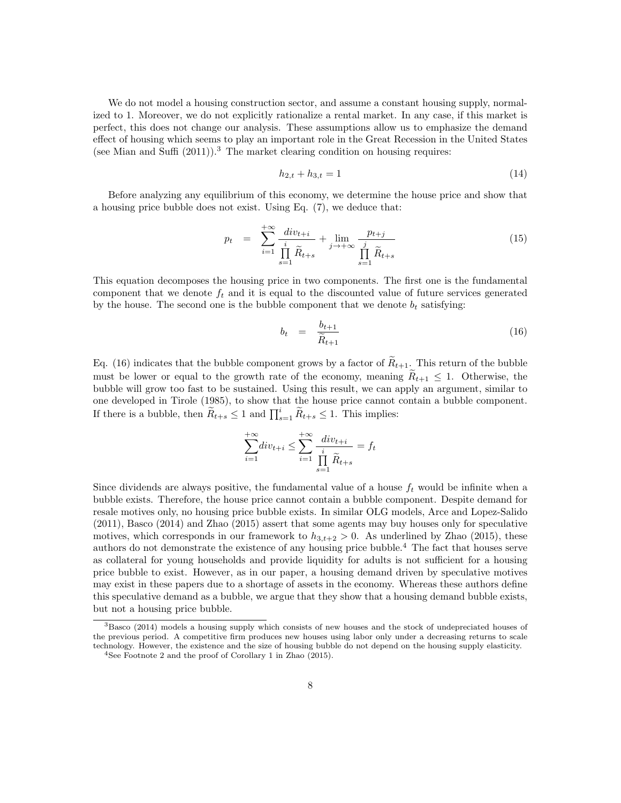We do not model a housing construction sector, and assume a constant housing supply, normalized to 1. Moreover, we do not explicitly rationalize a rental market. In any case, if this market is perfect, this does not change our analysis. These assumptions allow us to emphasize the demand effect of housing which seems to play an important role in the Great Recession in the United States (see Mian and Suffi  $(2011)$ ).<sup>3</sup> The market clearing condition on housing requires:

$$
h_{2,t} + h_{3,t} = 1\tag{14}
$$

Before analyzing any equilibrium of this economy, we determine the house price and show that a housing price bubble does not exist. Using Eq. (7), we deduce that:

$$
p_{t} = \sum_{i=1}^{+\infty} \frac{div_{t+i}}{\prod_{s=1}^{i} \widetilde{R}_{t+s}} + \lim_{j \to +\infty} \frac{p_{t+j}}{\prod_{s=1}^{j} \widetilde{R}_{t+s}}
$$
(15)

This equation decomposes the housing price in two components. The first one is the fundamental component that we denote  $f_t$  and it is equal to the discounted value of future services generated by the house. The second one is the bubble component that we denote  $b_t$  satisfying:

$$
b_t = \frac{b_{t+1}}{\widetilde{R}_{t+1}} \tag{16}
$$

Eq. (16) indicates that the bubble component grows by a factor of  $\widetilde{R}_{t+1}$ . This return of the bubble must be lower or equal to the growth rate of the economy, meaning  $\widetilde{R}_{t+1} \leq 1$ . Otherwise, the bubble will grow too fast to be sustained. Using this result, we can apply an argument, similar to one developed in Tirole (1985), to show that the house price cannot contain a bubble component. If there is a bubble, then  $\widetilde{R}_{t+s} \leq 1$  and  $\prod_{s=1}^{i} \widetilde{R}_{t+s} \leq 1$ . This implies:

$$
\sum_{i=1}^{+\infty} \operatorname{div}_{t+i} \le \sum_{i=1}^{+\infty} \frac{\operatorname{div}_{t+i}}{\prod\limits_{s=1}^{i} \widetilde{R}_{t+s}} = f_t
$$

Since dividends are always positive, the fundamental value of a house  $f_t$  would be infinite when a bubble exists. Therefore, the house price cannot contain a bubble component. Despite demand for resale motives only, no housing price bubble exists. In similar OLG models, Arce and Lopez-Salido (2011), Basco (2014) and Zhao (2015) assert that some agents may buy houses only for speculative motives, which corresponds in our framework to  $h_{3,t+2} > 0$ . As underlined by Zhao (2015), these authors do not demonstrate the existence of any housing price bubble.<sup>4</sup> The fact that houses serve as collateral for young households and provide liquidity for adults is not sufficient for a housing price bubble to exist. However, as in our paper, a housing demand driven by speculative motives may exist in these papers due to a shortage of assets in the economy. Whereas these authors define this speculative demand as a bubble, we argue that they show that a housing demand bubble exists, but not a housing price bubble.

 $3B$ asco (2014) models a housing supply which consists of new houses and the stock of undepreciated houses of the previous period. A competitive firm produces new houses using labor only under a decreasing returns to scale technology. However, the existence and the size of housing bubble do not depend on the housing supply elasticity.

<sup>4</sup>See Footnote 2 and the proof of Corollary 1 in Zhao (2015).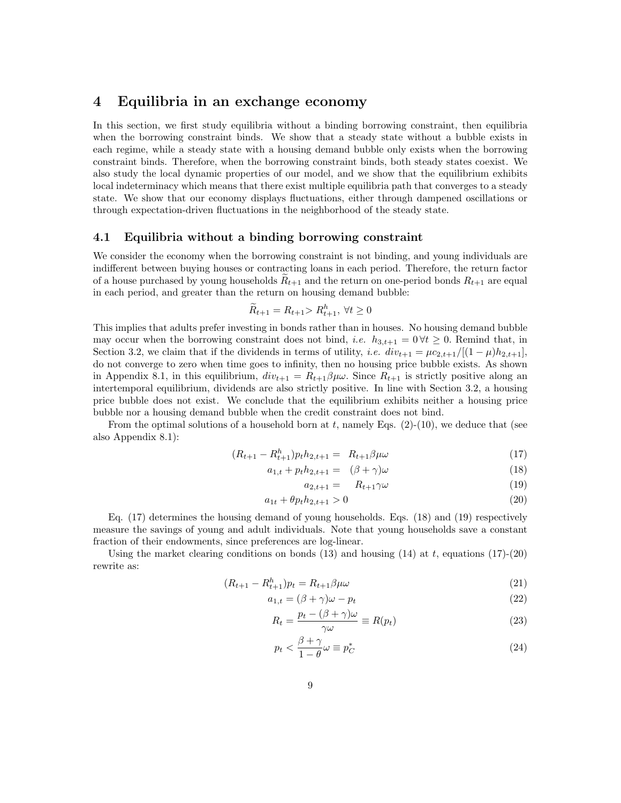## 4 Equilibria in an exchange economy

In this section, we first study equilibria without a binding borrowing constraint, then equilibria when the borrowing constraint binds. We show that a steady state without a bubble exists in each regime, while a steady state with a housing demand bubble only exists when the borrowing constraint binds. Therefore, when the borrowing constraint binds, both steady states coexist. We also study the local dynamic properties of our model, and we show that the equilibrium exhibits local indeterminacy which means that there exist multiple equilibria path that converges to a steady state. We show that our economy displays fluctuations, either through dampened oscillations or through expectation-driven fluctuations in the neighborhood of the steady state.

#### 4.1 Equilibria without a binding borrowing constraint

We consider the economy when the borrowing constraint is not binding, and young individuals are indifferent between buying houses or contracting loans in each period. Therefore, the return factor of a house purchased by young households  $R_{t+1}$  and the return on one-period bonds  $R_{t+1}$  are equal in each period, and greater than the return on housing demand bubble:

$$
\widetilde{R}_{t+1} = R_{t+1} > R_{t+1}^h, \ \forall t \ge 0
$$

This implies that adults prefer investing in bonds rather than in houses. No housing demand bubble may occur when the borrowing constraint does not bind, *i.e.*  $h_{3,t+1} = 0 \forall t \geq 0$ . Remind that, in Section 3.2, we claim that if the dividends in terms of utility, i.e.  $div_{t+1} = \mu c_{2,t+1}/[(1-\mu)h_{2,t+1}],$ do not converge to zero when time goes to infinity, then no housing price bubble exists. As shown in Appendix 8.1, in this equilibrium,  $div_{t+1} = R_{t+1}\beta\mu\omega$ . Since  $R_{t+1}$  is strictly positive along an intertemporal equilibrium, dividends are also strictly positive. In line with Section 3.2, a housing price bubble does not exist. We conclude that the equilibrium exhibits neither a housing price bubble nor a housing demand bubble when the credit constraint does not bind.

From the optimal solutions of a household born at t, namely Eqs.  $(2)-(10)$ , we deduce that (see also Appendix 8.1):

$$
(R_{t+1} - R_{t+1}^h) p_t h_{2,t+1} = R_{t+1} \beta \mu \omega \tag{17}
$$

$$
a_{1,t} + p_t h_{2,t+1} = (\beta + \gamma)\omega \tag{18}
$$

$$
a_{2,t+1} = R_{t+1} \gamma \omega \tag{19}
$$

$$
a_{1t} + \theta p_t h_{2,t+1} > 0 \tag{20}
$$

Eq. (17) determines the housing demand of young households. Eqs. (18) and (19) respectively measure the savings of young and adult individuals. Note that young households save a constant fraction of their endowments, since preferences are log-linear.

Using the market clearing conditions on bonds (13) and housing (14) at t, equations (17)-(20) rewrite as:

$$
(R_{t+1} - R_{t+1}^h)p_t = R_{t+1}\beta\mu\omega
$$
\n(21)

$$
a_{1,t} = (\beta + \gamma)\omega - p_t \tag{22}
$$

$$
R_t = \frac{p_t - (\beta + \gamma)\omega}{\gamma \omega} \equiv R(p_t)
$$
\n(23)

$$
p_t < \frac{\beta + \gamma}{1 - \theta} \omega \equiv p_C^* \tag{24}
$$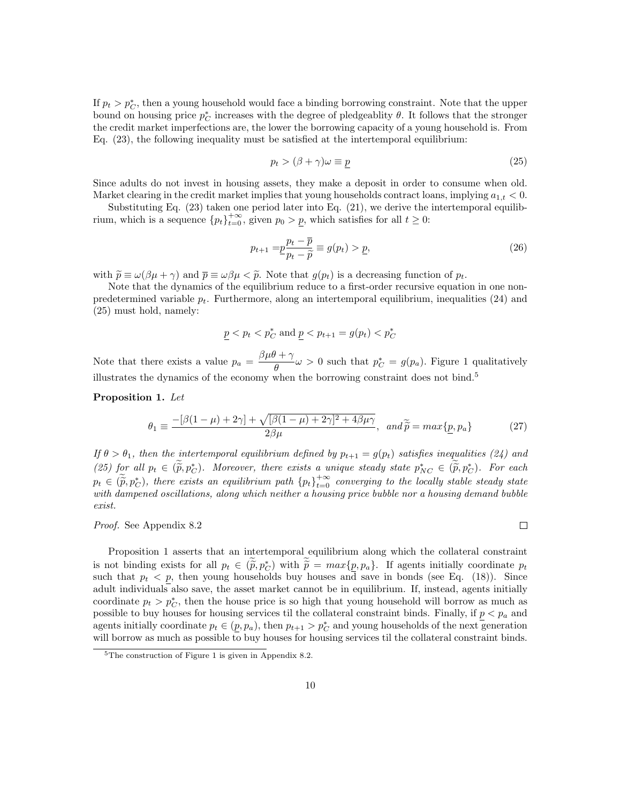If  $p_t > p_C^*$ , then a young household would face a binding borrowing constraint. Note that the upper bound on housing price  $p_C^*$  increases with the degree of pledgeablity  $\theta$ . It follows that the stronger the credit market imperfections are, the lower the borrowing capacity of a young household is. From Eq. (23), the following inequality must be satisfied at the intertemporal equilibrium:

$$
p_t > (\beta + \gamma)\omega \equiv \underline{p} \tag{25}
$$

Since adults do not invest in housing assets, they make a deposit in order to consume when old. Market clearing in the credit market implies that young households contract loans, implying  $a_{1,t} < 0$ .

Substituting Eq. (23) taken one period later into Eq. (21), we derive the intertemporal equilibrium, which is a sequence  ${p_t}_{t=0}^{+\infty}$ , given  $p_0 > p$ , which satisfies for all  $t \geq 0$ :

$$
p_{t+1} = p\frac{p_t - \overline{p}}{p_t - \widetilde{p}} \equiv g(p_t) > \underline{p},\tag{26}
$$

with  $\widetilde{p} \equiv \omega(\beta \mu + \gamma)$  and  $\overline{p} \equiv \omega \beta \mu < \widetilde{p}$ . Note that  $q(p_t)$  is a decreasing function of  $p_t$ .

Note that the dynamics of the equilibrium reduce to a first-order recursive equation in one nonpredetermined variable  $p_t$ . Furthermore, along an intertemporal equilibrium, inequalities (24) and (25) must hold, namely:

$$
\underline{p} < p_t < p_C^* \text{ and } \underline{p} < p_{t+1} = g(p_t) < p_C^*
$$

Note that there exists a value  $p_a = \frac{\beta \mu \theta + \gamma}{\rho}$  $\frac{d^2y}{dt^2} \omega > 0$  such that  $p_C^* = g(p_a)$ . Figure 1 qualitatively illustrates the dynamics of the economy when the borrowing constraint does not bind.<sup>5</sup>

Proposition 1. Let

$$
\theta_1 \equiv \frac{-[\beta(1-\mu) + 2\gamma] + \sqrt{[\beta(1-\mu) + 2\gamma]^2 + 4\beta\mu\gamma}}{2\beta\mu}, \quad \text{and } \tilde{\tilde{p}} = \max\{\underline{p}, \underline{p}_a\} \tag{27}
$$

If  $\theta > \theta_1$ , then the intertemporal equilibrium defined by  $p_{t+1} = g(p_t)$  satisfies inequalities (24) and (25) for all  $p_t \in (\tilde{p}, p^*_{\mathcal{C}})$ . Moreover, there exists a unique steady state  $p^*_{NC} \in (\tilde{p}, p^*_{\mathcal{C}})$ . For each  $p_t \in (\tilde{\tilde{p}}, p_C^*)$ , there exists an equilibrium path  $\{p_t\}_{t=0}^{+\infty}$  converging to the locally stable steady state<br>with democracy equilibrium along which neither a housing wise hubble nor a housing democy hubble with dampened oscillations, along which neither a housing price bubble nor a housing demand bubble exist.

Proof. See Appendix 8.2

 $\Box$ 

Proposition 1 asserts that an intertemporal equilibrium along which the collateral constraint is not binding exists for all  $p_t \in (\tilde{p}, p_c^*)$  with  $\tilde{p} = max\{p, p_a\}$ . If agents initially coordinate  $p_t$ <br>such that  $p_c \leq p_t$  then young households buy houses and save in bonds (see Eq. (18)). Since such that  $p_t < p$ , then young households buy houses and save in bonds (see Eq. (18)). Since adult individuals also save, the asset market cannot be in equilibrium. If, instead, agents initially coordinate  $p_t > p_C^*$ , then the house price is so high that young household will borrow as much as possible to buy houses for housing services til the collateral constraint binds. Finally, if  $p < p_a$  and agents initially coordinate  $p_t \in (p, p_a)$ , then  $p_{t+1} > p_C^*$  and young households of the next generation will borrow as much as possible to buy houses for housing services til the collateral constraint binds.

 ${}^{5}$ The construction of Figure 1 is given in Appendix 8.2.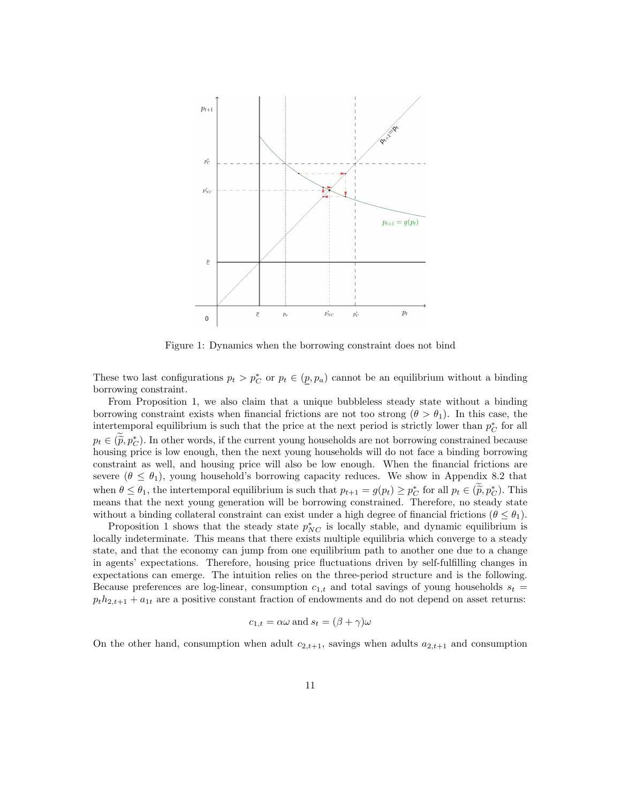

Figure 1: Dynamics when the borrowing constraint does not bind

These two last configurations  $p_t > p_C^*$  or  $p_t \in (p, p_a)$  cannot be an equilibrium without a binding borrowing constraint.

From Proposition 1, we also claim that a unique bubbleless steady state without a binding borrowing constraint exists when financial frictions are not too strong  $(\theta > \theta_1)$ . In this case, the intertemporal equilibrium is such that the price at the next period is strictly lower than  $p_C^*$  for all  $p_t \in (\tilde{p}, p_C^*)$ . In other words, if the current young households are not borrowing constrained because<br>housing price is low enough, then the port young households will do not face a hinding borrowing housing price is low enough, then the next young households will do not face a binding borrowing constraint as well, and housing price will also be low enough. When the financial frictions are severe  $(\theta \leq \theta_1)$ , young household's borrowing capacity reduces. We show in Appendix 8.2 that when  $\theta \leq \theta_1$ , the intertemporal equilibrium is such that  $p_{t+1} = g(p_t) \geq p_c^*$  for all  $p_t \in (\tilde{p}, p_c^*)$ . This means that the next young generation will be borrowing constrained. Therefore, no steady state without a binding collateral constraint can exist under a high degree of financial frictions  $(\theta \leq \theta_1)$ .

Proposition 1 shows that the steady state  $p_{NC}^*$  is locally stable, and dynamic equilibrium is locally indeterminate. This means that there exists multiple equilibria which converge to a steady state, and that the economy can jump from one equilibrium path to another one due to a change in agents' expectations. Therefore, housing price fluctuations driven by self-fulfilling changes in expectations can emerge. The intuition relies on the three-period structure and is the following. Because preferences are log-linear, consumption  $c_{1,t}$  and total savings of young households  $s_t =$  $p_th_{2,t+1} + a_{1t}$  are a positive constant fraction of endowments and do not depend on asset returns:

$$
c_{1,t} = \alpha \omega
$$
 and  $s_t = (\beta + \gamma)\omega$ 

On the other hand, consumption when adult  $c_{2,t+1}$ , savings when adults  $a_{2,t+1}$  and consumption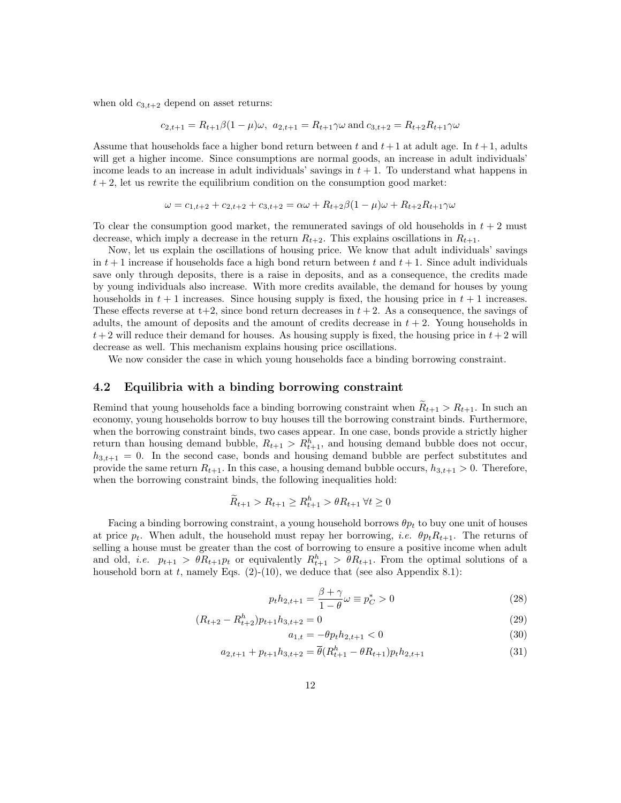when old  $c_{3,t+2}$  depend on asset returns:

$$
c_{2,t+1} = R_{t+1}\beta(1-\mu)\omega
$$
,  $a_{2,t+1} = R_{t+1}\gamma\omega$  and  $c_{3,t+2} = R_{t+2}R_{t+1}\gamma\omega$ 

Assume that households face a higher bond return between t and  $t+1$  at adult age. In  $t+1$ , adults will get a higher income. Since consumptions are normal goods, an increase in adult individuals' income leads to an increase in adult individuals' savings in  $t + 1$ . To understand what happens in  $t + 2$ , let us rewrite the equilibrium condition on the consumption good market:

$$
\omega = c_{1,t+2} + c_{2,t+2} + c_{3,t+2} = \alpha \omega + R_{t+2}\beta(1-\mu)\omega + R_{t+2}R_{t+1}\gamma\omega
$$

To clear the consumption good market, the remunerated savings of old households in  $t + 2$  must decrease, which imply a decrease in the return  $R_{t+2}$ . This explains oscillations in  $R_{t+1}$ .

Now, let us explain the oscillations of housing price. We know that adult individuals' savings in  $t + 1$  increase if households face a high bond return between t and  $t + 1$ . Since adult individuals save only through deposits, there is a raise in deposits, and as a consequence, the credits made by young individuals also increase. With more credits available, the demand for houses by young households in  $t + 1$  increases. Since housing supply is fixed, the housing price in  $t + 1$  increases. These effects reverse at  $t+2$ , since bond return decreases in  $t+2$ . As a consequence, the savings of adults, the amount of deposits and the amount of credits decrease in  $t + 2$ . Young households in  $t + 2$  will reduce their demand for houses. As housing supply is fixed, the housing price in  $t + 2$  will decrease as well. This mechanism explains housing price oscillations.

We now consider the case in which young households face a binding borrowing constraint.

#### 4.2 Equilibria with a binding borrowing constraint

Remind that young households face a binding borrowing constraint when  $R_{t+1} > R_{t+1}$ . In such an economy, young households borrow to buy houses till the borrowing constraint binds. Furthermore, when the borrowing constraint binds, two cases appear. In one case, bonds provide a strictly higher return than housing demand bubble,  $R_{t+1} > R_{t+1}^h$ , and housing demand bubble does not occur,  $h_{3,t+1} = 0$ . In the second case, bonds and housing demand bubble are perfect substitutes and provide the same return  $R_{t+1}$ . In this case, a housing demand bubble occurs,  $h_{3,t+1} > 0$ . Therefore, when the borrowing constraint binds, the following inequalities hold:

$$
\widetilde{R}_{t+1} > R_{t+1} \ge R_{t+1}^h > \theta R_{t+1} \,\forall t \ge 0
$$

Facing a binding borrowing constraint, a young household borrows  $\theta p_t$  to buy one unit of houses at price  $p_t$ . When adult, the household must repay her borrowing, i.e.  $\theta p_t R_{t+1}$ . The returns of selling a house must be greater than the cost of borrowing to ensure a positive income when adult and old, *i.e.*  $p_{t+1} > \theta R_{t+1} p_t$  or equivalently  $R_{t+1}^h > \theta R_{t+1}$ . From the optimal solutions of a household born at t, namely Eqs.  $(2)-(10)$ , we deduce that (see also Appendix 8.1):

$$
p_t h_{2,t+1} = \frac{\beta + \gamma}{1 - \theta} \omega \equiv p_C^* > 0 \tag{28}
$$

$$
(R_{t+2} - R_{t+2}^h) p_{t+1} h_{3,t+2} = 0 \tag{29}
$$

$$
a_{1,t} = -\theta p_t h_{2,t+1} < 0 \tag{30}
$$

$$
a_{2,t+1} + p_{t+1}h_{3,t+2} = \overline{\theta}(R_{t+1}^h - \theta R_{t+1})p_t h_{2,t+1}
$$
\n(31)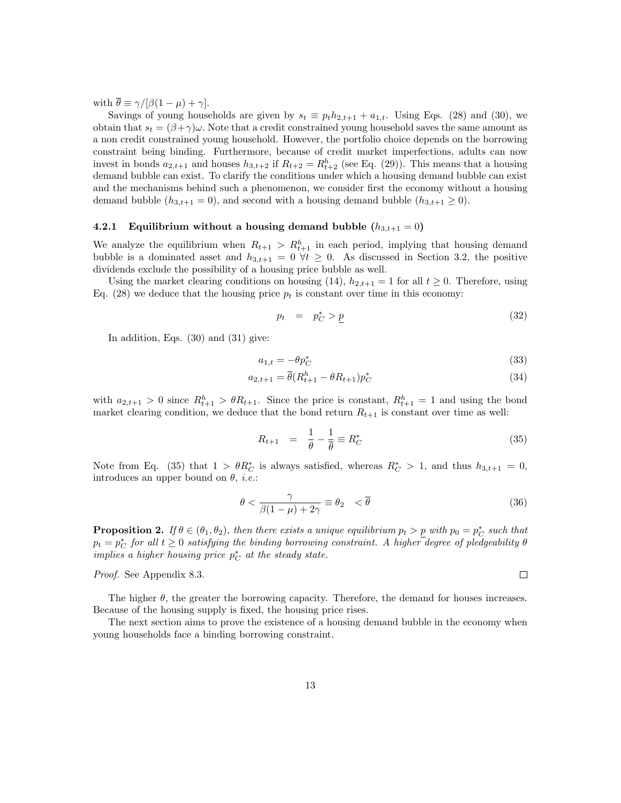with  $\overline{\theta} \equiv \gamma/[\beta(1-\mu)+\gamma]$ .

Savings of young households are given by  $s_t \equiv p_t h_{2,t+1} + a_{1,t}$ . Using Eqs. (28) and (30), we obtain that  $s_t = (\beta + \gamma)\omega$ . Note that a credit constrained young household saves the same amount as a non credit constrained young household. However, the portfolio choice depends on the borrowing constraint being binding. Furthermore, because of credit market imperfections, adults can now invest in bonds  $a_{2,t+1}$  and houses  $h_{3,t+2}$  if  $R_{t+2} = R_{t+2}^h$  (see Eq. (29)). This means that a housing demand bubble can exist. To clarify the conditions under which a housing demand bubble can exist and the mechanisms behind such a phenomenon, we consider first the economy without a housing demand bubble  $(h_{3,t+1} = 0)$ , and second with a housing demand bubble  $(h_{3,t+1} \geq 0)$ .

#### 4.2.1 Equilibrium without a housing demand bubble  $(h_{3,t+1}=0)$

We analyze the equilibrium when  $R_{t+1} > R_{t+1}^h$  in each period, implying that housing demand bubble is a dominated asset and  $h_{3,t+1} = 0 \forall t \geq 0$ . As discussed in Section 3.2, the positive dividends exclude the possibility of a housing price bubble as well.

Using the market clearing conditions on housing (14),  $h_{2,t+1} = 1$  for all  $t \geq 0$ . Therefore, using Eq. (28) we deduce that the housing price  $p_t$  is constant over time in this economy:

$$
p_t = p_C^* > \underline{p} \tag{32}
$$

In addition, Eqs. (30) and (31) give:

$$
a_{1,t} = -\theta p_C^* \tag{33}
$$

$$
a_{2,t+1} = \bar{\theta}(R_{t+1}^h - \theta R_{t+1})p_C^*
$$
\n(34)

with  $a_{2,t+1} > 0$  since  $R_{t+1}^h > \theta R_{t+1}$ . Since the price is constant,  $R_{t+1}^h = 1$  and using the bond market clearing condition, we deduce that the bond return  $R_{t+1}$  is constant over time as well:

$$
R_{t+1} = \frac{1}{\theta} - \frac{1}{\theta} \equiv R_C^*
$$
\n(35)

Note from Eq. (35) that  $1 > \theta R_C^*$  is always satisfied, whereas  $R_C^* > 1$ , and thus  $h_{3,t+1} = 0$ , introduces an upper bound on  $\theta$ , *i.e.*:

$$
\theta < \frac{\gamma}{\beta(1-\mu)+2\gamma} \equiv \theta_2 \quad < \overline{\theta} \tag{36}
$$

**Proposition 2.** If  $\theta \in (\theta_1, \theta_2)$ , then there exists a unique equilibrium  $p_t > p$  with  $p_0 = p_C^*$  such that  $p_t = p_C^*$  for all  $t \geq 0$  satisfying the binding borrowing constraint. A higher degree of pledgeability  $\theta$ implies a higher housing price  $p_C^*$  at the steady state.

Proof. See Appendix 8.3.

 $\Box$ 

The higher  $\theta$ , the greater the borrowing capacity. Therefore, the demand for houses increases. Because of the housing supply is fixed, the housing price rises.

The next section aims to prove the existence of a housing demand bubble in the economy when young households face a binding borrowing constraint.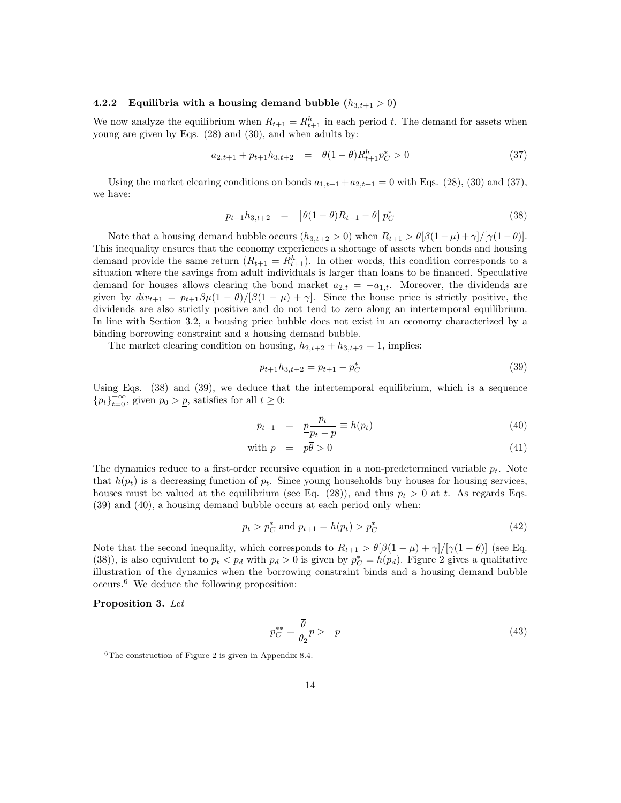#### 4.2.2 Equilibria with a housing demand bubble  $(h_{3,t+1} > 0)$

We now analyze the equilibrium when  $R_{t+1} = R_{t+1}^h$  in each period t. The demand for assets when young are given by Eqs. (28) and (30), and when adults by:

$$
a_{2,t+1} + p_{t+1}h_{3,t+2} = \overline{\theta}(1-\theta)R_{t+1}^h p_C^* > 0
$$
\n(37)

Using the market clearing conditions on bonds  $a_{1,t+1} + a_{2,t+1} = 0$  with Eqs. (28), (30) and (37), we have:

$$
p_{t+1}h_{3,t+2} = \left[\bar{\theta}(1-\theta)R_{t+1} - \theta\right]p_C^*
$$
\n(38)

Note that a housing demand bubble occurs  $(h_{3,t+2} > 0)$  when  $R_{t+1} > \theta[\beta(1-\mu)+\gamma]/[\gamma(1-\theta)]$ . This inequality ensures that the economy experiences a shortage of assets when bonds and housing demand provide the same return  $(R_{t+1} = R_{t+1}^h)$ . In other words, this condition corresponds to a situation where the savings from adult individuals is larger than loans to be financed. Speculative demand for houses allows clearing the bond market  $a_{2,t} = -a_{1,t}$ . Moreover, the dividends are given by  $div_{t+1} = p_{t+1}\beta\mu(1-\theta)/[\beta(1-\mu)+\gamma]$ . Since the house price is strictly positive, the dividends are also strictly positive and do not tend to zero along an intertemporal equilibrium. In line with Section 3.2, a housing price bubble does not exist in an economy characterized by a binding borrowing constraint and a housing demand bubble.

The market clearing condition on housing,  $h_{2,t+2} + h_{3,t+2} = 1$ , implies:

$$
p_{t+1}h_{3,t+2} = p_{t+1} - p_C^*
$$
\n(39)

Using Eqs. (38) and (39), we deduce that the intertemporal equilibrium, which is a sequence  ${p_t}_{t=0}^{+\infty}$ , given  $p_0 > p$ , satisfies for all  $t \geq 0$ :

$$
p_{t+1} = \underline{p} \frac{p_t}{p_t - \overline{p}} \equiv h(p_t) \tag{40}
$$

with 
$$
\overline{p} = p\overline{\theta} > 0
$$
 (41)

The dynamics reduce to a first-order recursive equation in a non-predetermined variable  $p_t$ . Note that  $h(p_t)$  is a decreasing function of  $p_t$ . Since young households buy houses for housing services, houses must be valued at the equilibrium (see Eq. (28)), and thus  $p_t > 0$  at t. As regards Eqs. (39) and (40), a housing demand bubble occurs at each period only when:

$$
p_t > p_C^* \text{ and } p_{t+1} = h(p_t) > p_C^* \tag{42}
$$

Note that the second inequality, which corresponds to  $R_{t+1} > \theta[\beta(1-\mu) + \gamma]/[\gamma(1-\theta)]$  (see Eq. (38)), is also equivalent to  $p_t < p_d$  with  $p_d > 0$  is given by  $p_C^* = h(p_d)$ . Figure 2 gives a qualitative illustration of the dynamics when the borrowing constraint binds and a housing demand bubble occurs.<sup>6</sup> We deduce the following proposition:

Proposition 3. Let

$$
p_C^{**} = \frac{\overline{\theta}}{\theta_2} \underline{p} > \underline{p} \tag{43}
$$

 ${}^{6}$ The construction of Figure 2 is given in Appendix 8.4.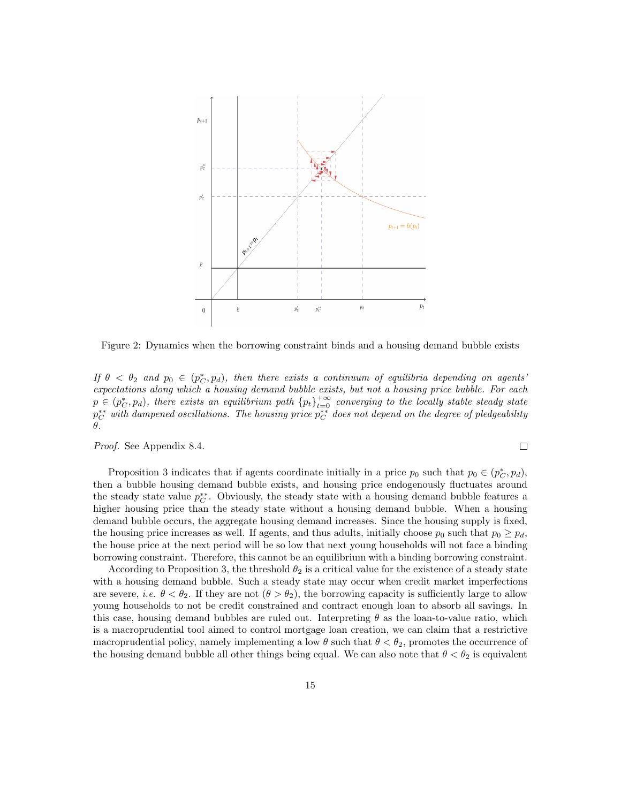

Figure 2: Dynamics when the borrowing constraint binds and a housing demand bubble exists

If  $\theta < \theta_2$  and  $p_0 \in (p_C^*, p_d)$ , then there exists a continuum of equilibria depending on agents expectations along which a housing demand bubble exists, but not a housing price bubble. For each  $p \in (p_{C}^{*}, p_{d})$ , there exists an equilibrium path  ${p_{t}}_{t=0}^{+\infty}$  converging to the locally stable steady state  $p_C^{**}$  with dampened oscillations. The housing price  $p_C^{**}$  does not depend on the degree of pledgeability θ.

Proof. See Appendix 8.4.

Proposition 3 indicates that if agents coordinate initially in a price  $p_0$  such that  $p_0 \in (p_C^*, p_d)$ , then a bubble housing demand bubble exists, and housing price endogenously fluctuates around the steady state value  $p_C^{**}$ . Obviously, the steady state with a housing demand bubble features a higher housing price than the steady state without a housing demand bubble. When a housing demand bubble occurs, the aggregate housing demand increases. Since the housing supply is fixed, the housing price increases as well. If agents, and thus adults, initially choose  $p_0$  such that  $p_0 \geq p_d$ , the house price at the next period will be so low that next young households will not face a binding borrowing constraint. Therefore, this cannot be an equilibrium with a binding borrowing constraint.

According to Proposition 3, the threshold  $\theta_2$  is a critical value for the existence of a steady state with a housing demand bubble. Such a steady state may occur when credit market imperfections are severe, *i.e.*  $\theta < \theta_2$ . If they are not  $(\theta > \theta_2)$ , the borrowing capacity is sufficiently large to allow young households to not be credit constrained and contract enough loan to absorb all savings. In this case, housing demand bubbles are ruled out. Interpreting  $\theta$  as the loan-to-value ratio, which is a macroprudential tool aimed to control mortgage loan creation, we can claim that a restrictive macroprudential policy, namely implementing a low  $\theta$  such that  $\theta < \theta_2$ , promotes the occurrence of the housing demand bubble all other things being equal. We can also note that  $\theta < \theta_2$  is equivalent

 $\Box$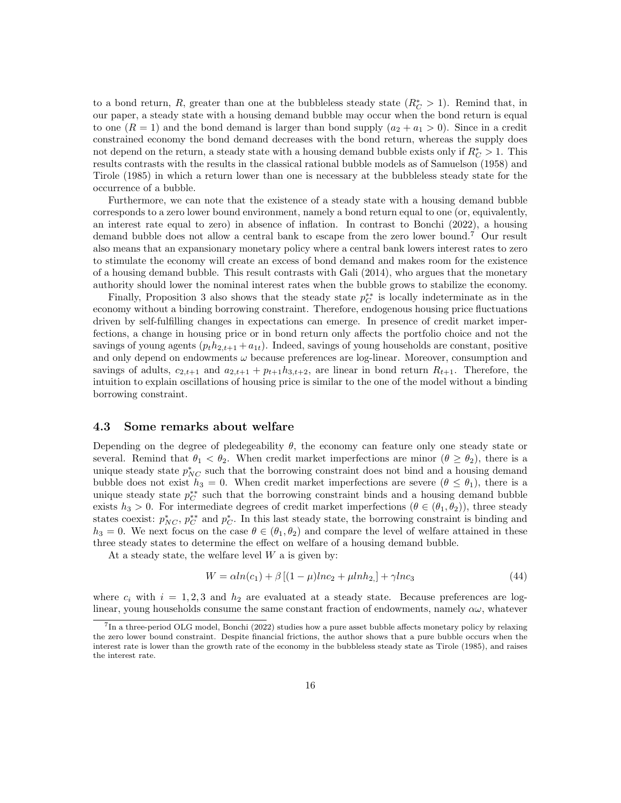to a bond return, R, greater than one at the bubbleless steady state  $(R_C^* > 1)$ . Remind that, in our paper, a steady state with a housing demand bubble may occur when the bond return is equal to one  $(R = 1)$  and the bond demand is larger than bond supply  $(a_2 + a_1 > 0)$ . Since in a credit constrained economy the bond demand decreases with the bond return, whereas the supply does not depend on the return, a steady state with a housing demand bubble exists only if  $R_C^* > 1$ . This results contrasts with the results in the classical rational bubble models as of Samuelson (1958) and Tirole (1985) in which a return lower than one is necessary at the bubbleless steady state for the occurrence of a bubble.

Furthermore, we can note that the existence of a steady state with a housing demand bubble corresponds to a zero lower bound environment, namely a bond return equal to one (or, equivalently, an interest rate equal to zero) in absence of inflation. In contrast to Bonchi (2022), a housing demand bubble does not allow a central bank to escape from the zero lower bound.<sup>7</sup> Our result also means that an expansionary monetary policy where a central bank lowers interest rates to zero to stimulate the economy will create an excess of bond demand and makes room for the existence of a housing demand bubble. This result contrasts with Gali (2014), who argues that the monetary authority should lower the nominal interest rates when the bubble grows to stabilize the economy.

Finally, Proposition 3 also shows that the steady state  $p_C^*$  is locally indeterminate as in the economy without a binding borrowing constraint. Therefore, endogenous housing price fluctuations driven by self-fulfilling changes in expectations can emerge. In presence of credit market imperfections, a change in housing price or in bond return only affects the portfolio choice and not the savings of young agents  $(p_t h_{2,t+1} + a_{1t})$ . Indeed, savings of young households are constant, positive and only depend on endowments  $\omega$  because preferences are log-linear. Moreover, consumption and savings of adults,  $c_{2,t+1}$  and  $a_{2,t+1} + p_{t+1}h_{3,t+2}$ , are linear in bond return  $R_{t+1}$ . Therefore, the intuition to explain oscillations of housing price is similar to the one of the model without a binding borrowing constraint.

#### 4.3 Some remarks about welfare

Depending on the degree of pledegeability  $\theta$ , the economy can feature only one steady state or several. Remind that  $\theta_1 < \theta_2$ . When credit market imperfections are minor  $(\theta \ge \theta_2)$ , there is a unique steady state  $p_{NC}^*$  such that the borrowing constraint does not bind and a housing demand bubble does not exist  $h_3 = 0$ . When credit market imperfections are severe  $(\theta \le \theta_1)$ , there is a unique steady state  $p_C^{**}$  such that the borrowing constraint binds and a housing demand bubble exists  $h_3 > 0$ . For intermediate degrees of credit market imperfections  $(\theta \in (\theta_1, \theta_2))$ , three steady states coexist:  $p_{NC}^*$ ,  $p_C^{**}$  and  $p_C^*$ . In this last steady state, the borrowing constraint is binding and  $h_3 = 0$ . We next focus on the case  $\theta \in (\theta_1, \theta_2)$  and compare the level of welfare attained in these three steady states to determine the effect on welfare of a housing demand bubble.

At a steady state, the welfare level  $W$  a is given by:

$$
W = \alpha ln(c_1) + \beta [(1 - \mu)lnc_2 + \mu lnh_2] + \gamma lnc_3 \tag{44}
$$

where  $c_i$  with  $i = 1, 2, 3$  and  $h_2$  are evaluated at a steady state. Because preferences are loglinear, young households consume the same constant fraction of endowments, namely  $\alpha\omega$ , whatever

<sup>&</sup>lt;sup>7</sup>In a three-period OLG model, Bonchi (2022) studies how a pure asset bubble affects monetary policy by relaxing the zero lower bound constraint. Despite financial frictions, the author shows that a pure bubble occurs when the interest rate is lower than the growth rate of the economy in the bubbleless steady state as Tirole (1985), and raises the interest rate.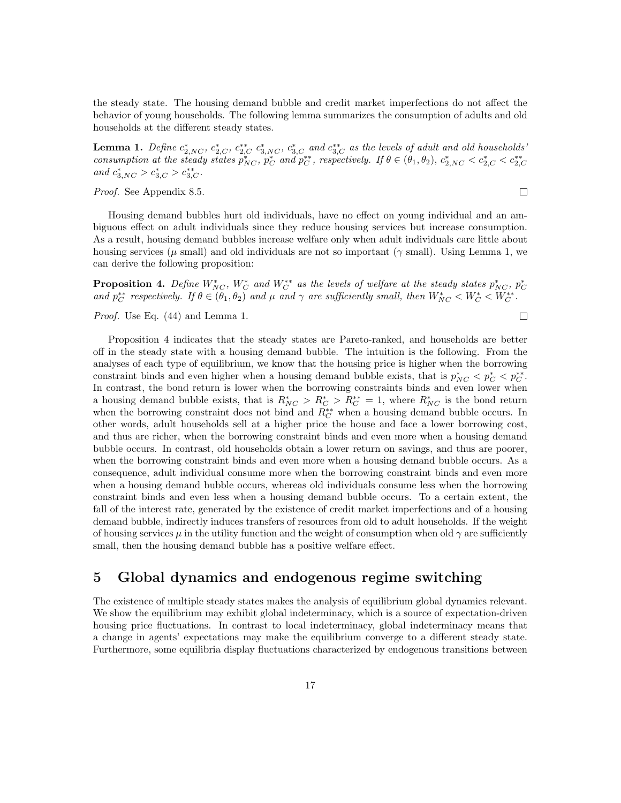the steady state. The housing demand bubble and credit market imperfections do not affect the behavior of young households. The following lemma summarizes the consumption of adults and old households at the different steady states.

**Lemma 1.** Define  $c_{2,NC}^*$ ,  $c_{2,C}^*$ ,  $c_{3,NC}^*$ ,  $c_{3,C}^*$  and  $c_{3,C}^{**}$  as the levels of adult and old households' consumption at the steady states  $p_{NC}^*$ ,  $p_C^*$  and  $p_C^{**}$ , respectively. If  $\theta \in (\theta_1, \theta_2)$ ,  $c_{2,NC}^* < c_{2,C}^* < c_{2,C}^{**}$ and  $c_{3,NC}^* > c_{3,C}^* > c_{3,C}^{**}$ .

Proof. See Appendix 8.5.

 $\Box$ 

Housing demand bubbles hurt old individuals, have no effect on young individual and an ambiguous effect on adult individuals since they reduce housing services but increase consumption. As a result, housing demand bubbles increase welfare only when adult individuals care little about housing services ( $\mu$  small) and old individuals are not so important ( $\gamma$  small). Using Lemma 1, we can derive the following proposition:

**Proposition 4.** Define  $W_{NC}^*$ ,  $W_C^*$  and  $W_C^{**}$  as the levels of welfare at the steady states  $p_{NC}^*$ ,  $p_C^*$ and  $p_C^{**}$  respectively. If  $\theta \in (\theta_1, \theta_2)$  and  $\mu$  and  $\gamma$  are sufficiently small, then  $W_{NC}^* < W_C^* < W_C^{**}$ .

Proof. Use Eq. (44) and Lemma 1.

$$
\Box
$$

Proposition 4 indicates that the steady states are Pareto-ranked, and households are better off in the steady state with a housing demand bubble. The intuition is the following. From the analyses of each type of equilibrium, we know that the housing price is higher when the borrowing constraint binds and even higher when a housing demand bubble exists, that is  $p_{NC}^* < p_C^* < p_C^{**}$ . In contrast, the bond return is lower when the borrowing constraints binds and even lower when a housing demand bubble exists, that is  $R_{NC}^* > R_C^* > R_C^{**} = 1$ , where  $R_{NC}^*$  is the bond return when the borrowing constraint does not bind and  $R_C^{**}$  when a housing demand bubble occurs. In other words, adult households sell at a higher price the house and face a lower borrowing cost, and thus are richer, when the borrowing constraint binds and even more when a housing demand bubble occurs. In contrast, old households obtain a lower return on savings, and thus are poorer, when the borrowing constraint binds and even more when a housing demand bubble occurs. As a consequence, adult individual consume more when the borrowing constraint binds and even more when a housing demand bubble occurs, whereas old individuals consume less when the borrowing constraint binds and even less when a housing demand bubble occurs. To a certain extent, the fall of the interest rate, generated by the existence of credit market imperfections and of a housing demand bubble, indirectly induces transfers of resources from old to adult households. If the weight of housing services  $\mu$  in the utility function and the weight of consumption when old  $\gamma$  are sufficiently small, then the housing demand bubble has a positive welfare effect.

# 5 Global dynamics and endogenous regime switching

The existence of multiple steady states makes the analysis of equilibrium global dynamics relevant. We show the equilibrium may exhibit global indeterminacy, which is a source of expectation-driven housing price fluctuations. In contrast to local indeterminacy, global indeterminacy means that a change in agents' expectations may make the equilibrium converge to a different steady state. Furthermore, some equilibria display fluctuations characterized by endogenous transitions between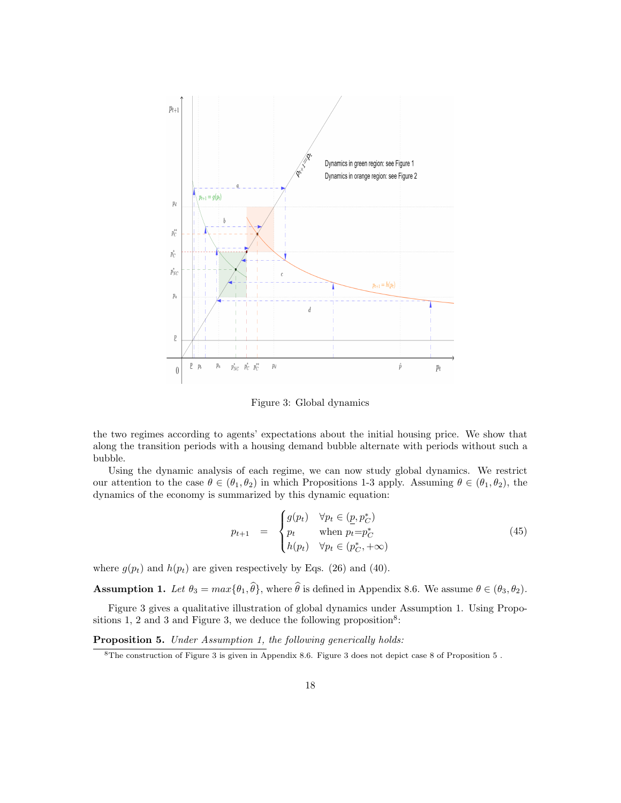

Figure 3: Global dynamics

the two regimes according to agents' expectations about the initial housing price. We show that along the transition periods with a housing demand bubble alternate with periods without such a bubble.

Using the dynamic analysis of each regime, we can now study global dynamics. We restrict our attention to the case  $\theta \in (\theta_1, \theta_2)$  in which Propositions 1-3 apply. Assuming  $\theta \in (\theta_1, \theta_2)$ , the dynamics of the economy is summarized by this dynamic equation:

$$
p_{t+1} = \begin{cases} g(p_t) & \forall p_t \in (\underline{p}, p_C^*) \\ p_t & \text{when } p_t = p_C^* \\ h(p_t) & \forall p_t \in (p_C^*, +\infty) \end{cases}
$$
(45)

where  $g(p_t)$  and  $h(p_t)$  are given respectively by Eqs. (26) and (40).

**Assumption 1.** Let  $\theta_3 = max{\theta_1, \hat{\theta}}$ , where  $\hat{\theta}$  is defined in Appendix 8.6. We assume  $\theta \in (\theta_3, \theta_2)$ .

Figure 3 gives a qualitative illustration of global dynamics under Assumption 1. Using Propositions 1, 2 and 3 and Figure 3, we deduce the following proposition<sup>8</sup>:

Proposition 5. Under Assumption 1, the following generically holds:

<sup>8</sup>The construction of Figure 3 is given in Appendix 8.6. Figure 3 does not depict case 8 of Proposition 5 .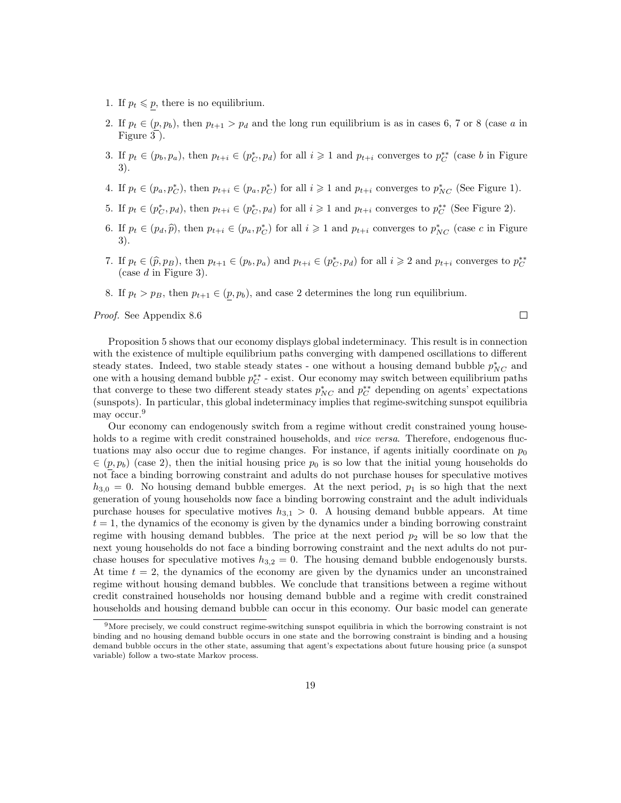- 1. If  $p_t \leqslant p$ , there is no equilibrium.
- 2. If  $p_t \in (p, p_b)$ , then  $p_{t+1} > p_d$  and the long run equilibrium is as in cases 6, 7 or 8 (case a in Figure 3 ).
- 3. If  $p_t \in (p_b, p_a)$ , then  $p_{t+i} \in (p_C^*, p_d)$  for all  $i \geq 1$  and  $p_{t+i}$  converges to  $p_C^{**}$  (case b in Figure 3).
- 4. If  $p_t \in (p_a, p_C^*)$ , then  $p_{t+i} \in (p_a, p_C^*)$  for all  $i \geqslant 1$  and  $p_{t+i}$  converges to  $p_{NC}^*$  (See Figure 1).
- 5. If  $p_t \in (p_C^*, p_d)$ , then  $p_{t+i} \in (p_C^*, p_d)$  for all  $i \geq 1$  and  $p_{t+i}$  converges to  $p_C^{**}$  (See Figure 2).
- 6. If  $p_t \in (p_d, \hat{p})$ , then  $p_{t+i} \in (p_a, p_C^*)$  for all  $i \geq 1$  and  $p_{t+i}$  converges to  $p_{NC}^*$  (case c in Figure 3).
- 7. If  $p_t \in (\hat{p}, p_B)$ , then  $p_{t+1} \in (p_b, p_a)$  and  $p_{t+i} \in (p_C^*, p_d)$  for all  $i \geqslant 2$  and  $p_{t+i}$  converges to  $p_C^{**}$ (case  $d$  in Figure 3).
- 8. If  $p_t > p_B$ , then  $p_{t+1} \in (p, p_b)$ , and case 2 determines the long run equilibrium.

Proof. See Appendix 8.6

 $\Box$ 

Proposition 5 shows that our economy displays global indeterminacy. This result is in connection with the existence of multiple equilibrium paths converging with dampened oscillations to different steady states. Indeed, two stable steady states - one without a housing demand bubble  $p_{NC}^*$  and one with a housing demand bubble  $p_C^{**}$  - exist. Our economy may switch between equilibrium paths that converge to these two different steady states  $p_{NC}^*$  and  $p_C^{**}$  depending on agents' expectations (sunspots). In particular, this global indeterminacy implies that regime-switching sunspot equilibria may occur.<sup>9</sup>

Our economy can endogenously switch from a regime without credit constrained young households to a regime with credit constrained households, and *vice versa*. Therefore, endogenous fluctuations may also occur due to regime changes. For instance, if agents initially coordinate on  $p_0$  $\in (p, p_b)$  (case 2), then the initial housing price  $p_0$  is so low that the initial young households do not face a binding borrowing constraint and adults do not purchase houses for speculative motives  $h_{3,0} = 0$ . No housing demand bubble emerges. At the next period,  $p_1$  is so high that the next generation of young households now face a binding borrowing constraint and the adult individuals purchase houses for speculative motives  $h_{3,1} > 0$ . A housing demand bubble appears. At time  $t = 1$ , the dynamics of the economy is given by the dynamics under a binding borrowing constraint regime with housing demand bubbles. The price at the next period  $p_2$  will be so low that the next young households do not face a binding borrowing constraint and the next adults do not purchase houses for speculative motives  $h_{3,2} = 0$ . The housing demand bubble endogenously bursts. At time  $t = 2$ , the dynamics of the economy are given by the dynamics under an unconstrained regime without housing demand bubbles. We conclude that transitions between a regime without credit constrained households nor housing demand bubble and a regime with credit constrained households and housing demand bubble can occur in this economy. Our basic model can generate

<sup>9</sup>More precisely, we could construct regime-switching sunspot equilibria in which the borrowing constraint is not binding and no housing demand bubble occurs in one state and the borrowing constraint is binding and a housing demand bubble occurs in the other state, assuming that agent's expectations about future housing price (a sunspot variable) follow a two-state Markov process.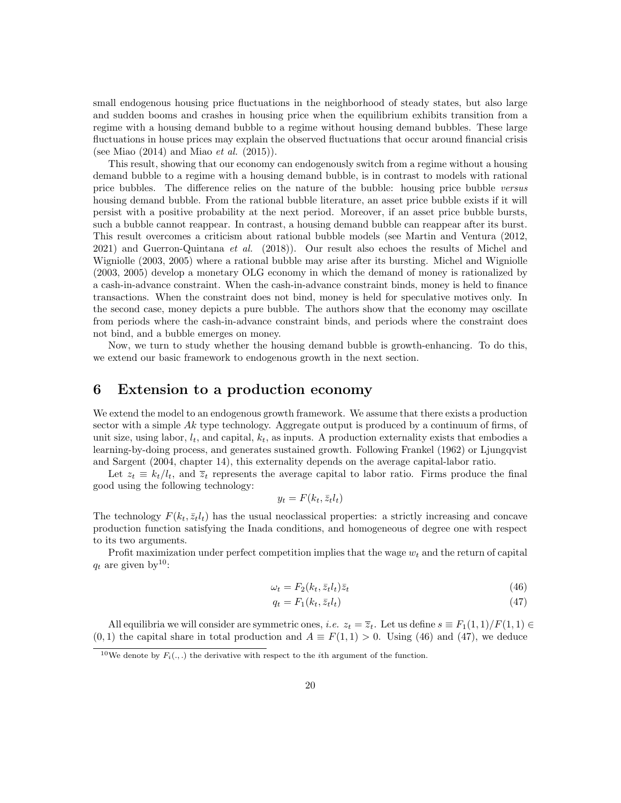small endogenous housing price fluctuations in the neighborhood of steady states, but also large and sudden booms and crashes in housing price when the equilibrium exhibits transition from a regime with a housing demand bubble to a regime without housing demand bubbles. These large fluctuations in house prices may explain the observed fluctuations that occur around financial crisis (see Miao  $(2014)$  and Miao *et al.*  $(2015)$ ).

This result, showing that our economy can endogenously switch from a regime without a housing demand bubble to a regime with a housing demand bubble, is in contrast to models with rational price bubbles. The difference relies on the nature of the bubble: housing price bubble versus housing demand bubble. From the rational bubble literature, an asset price bubble exists if it will persist with a positive probability at the next period. Moreover, if an asset price bubble bursts, such a bubble cannot reappear. In contrast, a housing demand bubble can reappear after its burst. This result overcomes a criticism about rational bubble models (see Martin and Ventura (2012, 2021) and Guerron-Quintana *et al.* (2018)). Our result also echoes the results of Michel and Wigniolle (2003, 2005) where a rational bubble may arise after its bursting. Michel and Wigniolle (2003, 2005) develop a monetary OLG economy in which the demand of money is rationalized by a cash-in-advance constraint. When the cash-in-advance constraint binds, money is held to finance transactions. When the constraint does not bind, money is held for speculative motives only. In the second case, money depicts a pure bubble. The authors show that the economy may oscillate from periods where the cash-in-advance constraint binds, and periods where the constraint does not bind, and a bubble emerges on money.

Now, we turn to study whether the housing demand bubble is growth-enhancing. To do this, we extend our basic framework to endogenous growth in the next section.

# 6 Extension to a production economy

We extend the model to an endogenous growth framework. We assume that there exists a production sector with a simple  $Ak$  type technology. Aggregate output is produced by a continuum of firms, of unit size, using labor,  $l_t$ , and capital,  $k_t$ , as inputs. A production externality exists that embodies a learning-by-doing process, and generates sustained growth. Following Frankel (1962) or Ljungqvist and Sargent (2004, chapter 14), this externality depends on the average capital-labor ratio.

Let  $z_t \equiv k_t/l_t$ , and  $\overline{z}_t$  represents the average capital to labor ratio. Firms produce the final good using the following technology:

$$
y_t = F(k_t, \bar{z}_t l_t)
$$

The technology  $F(k_t, \bar{z}_t l_t)$  has the usual neoclassical properties: a strictly increasing and concave production function satisfying the Inada conditions, and homogeneous of degree one with respect to its two arguments.

Profit maximization under perfect competition implies that the wage  $w_t$  and the return of capital  $q_t$  are given by<sup>10</sup>:

$$
\omega_t = F_2(k_t, \bar{z}_t l_t) \bar{z}_t \tag{46}
$$

$$
q_t = F_1(k_t, \bar{z}_t l_t) \tag{47}
$$

All equilibria we will consider are symmetric ones, *i.e.*  $z_t = \overline{z}_t$ . Let us define  $s \equiv F_1(1,1)/F(1,1) \in$  $(0, 1)$  the capital share in total production and  $A \equiv F(1, 1) > 0$ . Using (46) and (47), we deduce

<sup>&</sup>lt;sup>10</sup>We denote by  $F_i(.,.)$  the derivative with respect to the *i*th argument of the function.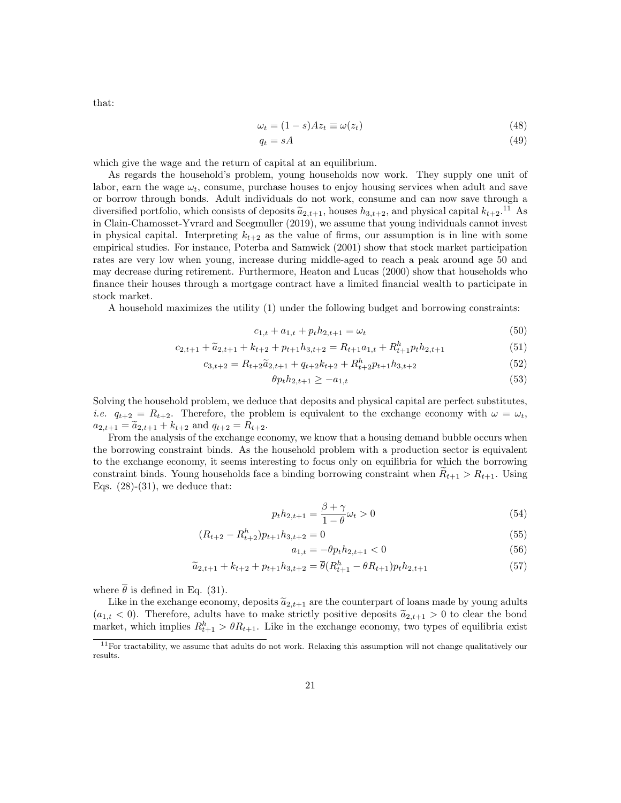$\omega_t = (1 - s)Az_t \equiv \omega(z_t)$  (48)

$$
q_t = sA \tag{49}
$$

which give the wage and the return of capital at an equilibrium.

As regards the household's problem, young households now work. They supply one unit of labor, earn the wage  $\omega_t$ , consume, purchase houses to enjoy housing services when adult and save or borrow through bonds. Adult individuals do not work, consume and can now save through a diversified portfolio, which consists of deposits  $\tilde{a}_{2,t+1}$ , houses  $h_{3,t+2}$ , and physical capital  $k_{t+2}$ .<sup>11</sup> As in Clain-Chamosset-Yvrard and Seegmuller (2019), we assume that young individuals cannot invest in physical capital. Interpreting  $k_{t+2}$  as the value of firms, our assumption is in line with some empirical studies. For instance, Poterba and Samwick (2001) show that stock market participation rates are very low when young, increase during middle-aged to reach a peak around age 50 and may decrease during retirement. Furthermore, Heaton and Lucas (2000) show that households who finance their houses through a mortgage contract have a limited financial wealth to participate in stock market.

A household maximizes the utility (1) under the following budget and borrowing constraints:

$$
c_{1,t} + a_{1,t} + p_t h_{2,t+1} = \omega_t \tag{50}
$$

$$
c_{2,t+1} + \widetilde{a}_{2,t+1} + k_{t+2} + p_{t+1}h_{3,t+2} = R_{t+1}a_{1,t} + R_{t+1}^h p_t h_{2,t+1}
$$
(51)

$$
c_{3,t+2} = R_{t+2}\tilde{a}_{2,t+1} + q_{t+2}k_{t+2} + R_{t+2}^h p_{t+1}h_{3,t+2}
$$
\n
$$
(52)
$$

$$
\theta p_t h_{2,t+1} \ge -a_{1,t} \tag{53}
$$

Solving the household problem, we deduce that deposits and physical capital are perfect substitutes, *i.e.*  $q_{t+2} = R_{t+2}$ . Therefore, the problem is equivalent to the exchange economy with  $\omega = \omega_t$ ,  $a_{2,t+1} = \tilde{a}_{2,t+1} + k_{t+2}$  and  $q_{t+2} = R_{t+2}$ .

From the analysis of the exchange economy, we know that a housing demand bubble occurs when the borrowing constraint binds. As the household problem with a production sector is equivalent to the exchange economy, it seems interesting to focus only on equilibria for which the borrowing constraint binds. Young households face a binding borrowing constraint when  $R_{t+1} > R_{t+1}$ . Using Eqs.  $(28)-(31)$ , we deduce that:

$$
p_t h_{2,t+1} = \frac{\beta + \gamma}{1 - \theta} \omega_t > 0 \tag{54}
$$

$$
(R_{t+2} - R_{t+2}^h) p_{t+1} h_{3,t+2} = 0 \tag{55}
$$

$$
a_{1,t} = -\theta p_t h_{2,t+1} < 0 \tag{56}
$$

$$
\widetilde{a}_{2,t+1} + k_{t+2} + p_{t+1}h_{3,t+2} = \overline{\theta}(R_{t+1}^h - \theta R_{t+1})p_t h_{2,t+1}
$$
\n(57)

where  $\bar{\theta}$  is defined in Eq. (31).

Like in the exchange economy, deposits  $\tilde{a}_{2,t+1}$  are the counterpart of loans made by young adults  $(a_{1,t} < 0)$ . Therefore, adults have to make strictly positive deposits  $\tilde{a}_{2,t+1} > 0$  to clear the bond market, which implies  $R_{t+1}^h > \theta R_{t+1}$ . Like in the exchange economy, two types of equilibria exist

that:

 $11$  For tractability, we assume that adults do not work. Relaxing this assumption will not change qualitatively our results.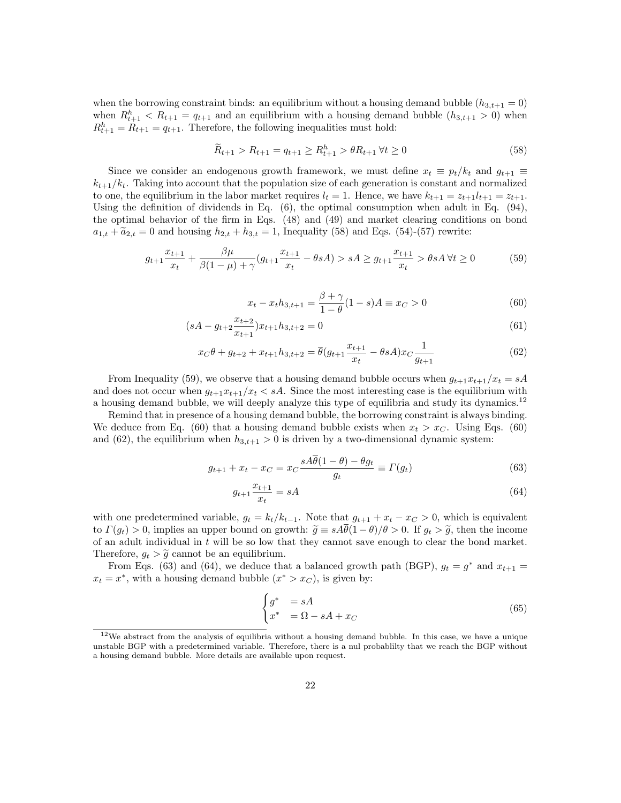when the borrowing constraint binds: an equilibrium without a housing demand bubble  $(h_{3,t+1} = 0)$ when  $R_{t+1}^h < R_{t+1} = q_{t+1}$  and an equilibrium with a housing demand bubble  $(h_{3,t+1} > 0)$  when  $R_{t+1}^h = R_{t+1} = q_{t+1}$ . Therefore, the following inequalities must hold:

$$
\widetilde{R}_{t+1} > R_{t+1} = q_{t+1} \ge R_{t+1}^h > \theta R_{t+1} \,\forall t \ge 0 \tag{58}
$$

Since we consider an endogenous growth framework, we must define  $x_t \equiv p_t/k_t$  and  $g_{t+1} \equiv$  $k_{t+1}/k_t$ . Taking into account that the population size of each generation is constant and normalized to one, the equilibrium in the labor market requires  $l_t = 1$ . Hence, we have  $k_{t+1} = z_{t+1}l_{t+1} = z_{t+1}$ . Using the definition of dividends in Eq.  $(6)$ , the optimal consumption when adult in Eq.  $(94)$ , the optimal behavior of the firm in Eqs. (48) and (49) and market clearing conditions on bond  $a_{1,t} + \tilde{a}_{2,t} = 0$  and housing  $h_{2,t} + h_{3,t} = 1$ , Inequality (58) and Eqs. (54)-(57) rewrite:

$$
g_{t+1}\frac{x_{t+1}}{x_t} + \frac{\beta\mu}{\beta(1-\mu)+\gamma}(g_{t+1}\frac{x_{t+1}}{x_t} - \theta sA) > sA \ge g_{t+1}\frac{x_{t+1}}{x_t} > \theta sA \,\forall t \ge 0 \tag{59}
$$

$$
x_t - x_t h_{3,t+1} = \frac{\beta + \gamma}{1 - \theta} (1 - s) A \equiv x_C > 0
$$
 (60)

$$
(sA - g_{t+2} \frac{x_{t+2}}{x_{t+1}})x_{t+1}h_{3,t+2} = 0
$$
\n
$$
(61)
$$

$$
x_C \theta + g_{t+2} + x_{t+1} h_{3,t+2} = \overline{\theta} (g_{t+1} \frac{x_{t+1}}{x_t} - \theta s A) x_C \frac{1}{g_{t+1}}
$$
(62)

From Inequality (59), we observe that a housing demand bubble occurs when  $g_{t+1}x_{t+1}/x_t = sA$ and does not occur when  $q_{t+1}x_{t+1}/x_t < sA$ . Since the most interesting case is the equilibrium with a housing demand bubble, we will deeply analyze this type of equilibria and study its dynamics.<sup>12</sup>

Remind that in presence of a housing demand bubble, the borrowing constraint is always binding. We deduce from Eq. (60) that a housing demand bubble exists when  $x_t > x_C$ . Using Eqs. (60) and (62), the equilibrium when  $h_{3,t+1} > 0$  is driven by a two-dimensional dynamic system:

$$
g_{t+1} + x_t - x_C = x_C \frac{sA\overline{\theta}(1-\theta) - \theta g_t}{g_t} \equiv \Gamma(g_t)
$$
\n(63)

$$
g_{t+1} \frac{x_{t+1}}{x_t} = sA \tag{64}
$$

with one predetermined variable,  $g_t = k_t/k_{t-1}$ . Note that  $g_{t+1} + x_t - x_C > 0$ , which is equivalent to  $\Gamma(g_t) > 0$ , implies an upper bound on growth:  $\tilde{g} \equiv sA\theta(1-\theta)/\theta > 0$ . If  $g_t > \tilde{g}$ , then the income of an adult individual in t will be so low that they cannot save enough to clear the bond market. Therefore,  $g_t > \tilde{g}$  cannot be an equilibrium.

From Eqs. (63) and (64), we deduce that a balanced growth path (BGP),  $g_t = g^*$  and  $x_{t+1} =$  $x_t = x^*$ , with a housing demand bubble  $(x^* > x_C)$ , is given by:

$$
\begin{cases}\n g^* &= sA \\
x^* &= \Omega - sA + x_C\n\end{cases}
$$
\n(65)

<sup>12</sup>We abstract from the analysis of equilibria without a housing demand bubble. In this case, we have a unique unstable BGP with a predetermined variable. Therefore, there is a nul probablilty that we reach the BGP without a housing demand bubble. More details are available upon request.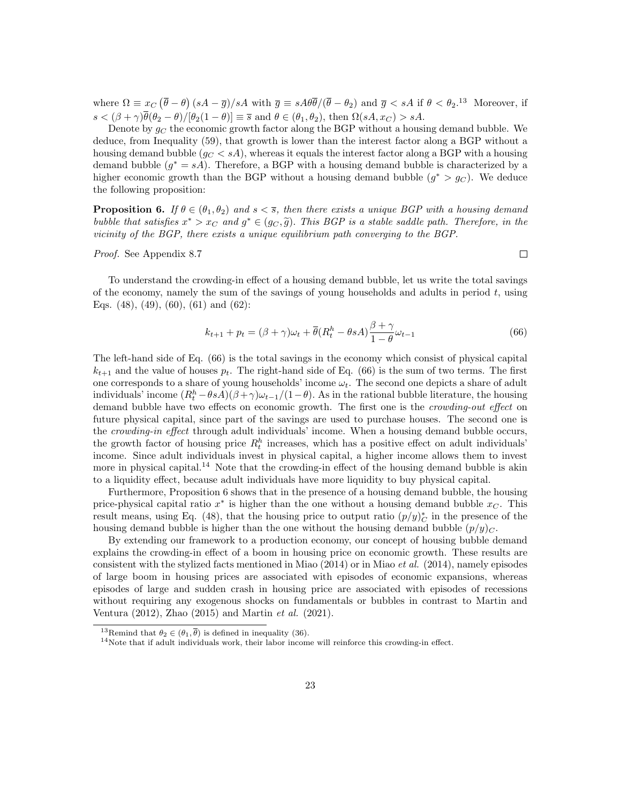where  $\Omega \equiv x_C (\bar{\theta} - \theta) (sA - \bar{g})/sA$  with  $\bar{g} \equiv sA\theta \bar{\theta}/(\bar{\theta} - \theta_2)$  and  $\bar{g} < sA$  if  $\theta < \theta_2$ .<sup>13</sup> Moreover, if  $s < (\beta + \gamma)\overline{\theta}(\theta_2 - \theta)/[\theta_2(1 - \theta)] \equiv \overline{s}$  and  $\theta \in (\theta_1, \theta_2)$ , then  $\Omega(sA, x_C) > sA$ .

Denote by  $g_C$  the economic growth factor along the BGP without a housing demand bubble. We deduce, from Inequality (59), that growth is lower than the interest factor along a BGP without a housing demand bubble  $(g_C < sA)$ , whereas it equals the interest factor along a BGP with a housing demand bubble  $(g^* = sA)$ . Therefore, a BGP with a housing demand bubble is characterized by a higher economic growth than the BGP without a housing demand bubble  $(g^* > g_C)$ . We deduce the following proposition:

**Proposition 6.** If  $\theta \in (\theta_1, \theta_2)$  and  $s < \overline{s}$ , then there exists a unique BGP with a housing demand bubble that satisfies  $x^* > x_C$  and  $g^* \in (g_C, \tilde{g})$ . This BGP is a stable saddle path. Therefore, in the vicinity of the BCP vicinity of the BGP, there exists a unique equilibrium path converging to the BGP.

Proof. See Appendix 8.7

 $\Box$ 

To understand the crowding-in effect of a housing demand bubble, let us write the total savings of the economy, namely the sum of the savings of young households and adults in period  $t$ , using Eqs. (48), (49), (60), (61) and (62):

$$
k_{t+1} + p_t = (\beta + \gamma)\omega_t + \overline{\theta}(R_t^h - \theta sA) \frac{\beta + \gamma}{1 - \theta} \omega_{t-1}
$$
\n(66)

The left-hand side of Eq. (66) is the total savings in the economy which consist of physical capital  $k_{t+1}$  and the value of houses  $p_t$ . The right-hand side of Eq. (66) is the sum of two terms. The first one corresponds to a share of young households' income  $\omega_t$ . The second one depicts a share of adult individuals' income  $(R_t^h - \theta sA)(\beta + \gamma)\omega_{t-1}/(1-\theta)$ . As in the rational bubble literature, the housing demand bubble have two effects on economic growth. The first one is the *crowding-out effect* on future physical capital, since part of the savings are used to purchase houses. The second one is the *crowding-in effect* through adult individuals' income. When a housing demand bubble occurs, the growth factor of housing price  $R_t^h$  increases, which has a positive effect on adult individuals' income. Since adult individuals invest in physical capital, a higher income allows them to invest more in physical capital.<sup>14</sup> Note that the crowding-in effect of the housing demand bubble is akin to a liquidity effect, because adult individuals have more liquidity to buy physical capital.

Furthermore, Proposition 6 shows that in the presence of a housing demand bubble, the housing price-physical capital ratio  $x^*$  is higher than the one without a housing demand bubble  $x_C$ . This result means, using Eq. (48), that the housing price to output ratio  $(p/y)_C^*$  in the presence of the housing demand bubble is higher than the one without the housing demand bubble  $(p/y)_C$ .

By extending our framework to a production economy, our concept of housing bubble demand explains the crowding-in effect of a boom in housing price on economic growth. These results are consistent with the stylized facts mentioned in Miao  $(2014)$  or in Miao *et al.*  $(2014)$ , namely episodes of large boom in housing prices are associated with episodes of economic expansions, whereas episodes of large and sudden crash in housing price are associated with episodes of recessions without requiring any exogenous shocks on fundamentals or bubbles in contrast to Martin and Ventura (2012), Zhao (2015) and Martin et al. (2021).

<sup>&</sup>lt;sup>13</sup>Remind that  $\theta_2 \in (\theta_1, \overline{\theta})$  is defined in inequality (36).

<sup>&</sup>lt;sup>14</sup>Note that if adult individuals work, their labor income will reinforce this crowding-in effect.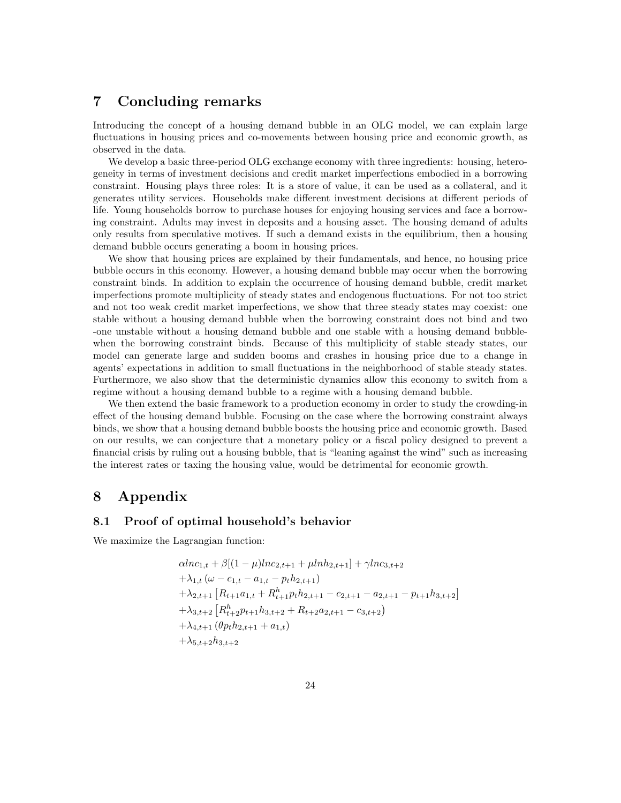# 7 Concluding remarks

Introducing the concept of a housing demand bubble in an OLG model, we can explain large fluctuations in housing prices and co-movements between housing price and economic growth, as observed in the data.

We develop a basic three-period OLG exchange economy with three ingredients: housing, heterogeneity in terms of investment decisions and credit market imperfections embodied in a borrowing constraint. Housing plays three roles: It is a store of value, it can be used as a collateral, and it generates utility services. Households make different investment decisions at different periods of life. Young households borrow to purchase houses for enjoying housing services and face a borrowing constraint. Adults may invest in deposits and a housing asset. The housing demand of adults only results from speculative motives. If such a demand exists in the equilibrium, then a housing demand bubble occurs generating a boom in housing prices.

We show that housing prices are explained by their fundamentals, and hence, no housing price bubble occurs in this economy. However, a housing demand bubble may occur when the borrowing constraint binds. In addition to explain the occurrence of housing demand bubble, credit market imperfections promote multiplicity of steady states and endogenous fluctuations. For not too strict and not too weak credit market imperfections, we show that three steady states may coexist: one stable without a housing demand bubble when the borrowing constraint does not bind and two -one unstable without a housing demand bubble and one stable with a housing demand bubblewhen the borrowing constraint binds. Because of this multiplicity of stable steady states, our model can generate large and sudden booms and crashes in housing price due to a change in agents' expectations in addition to small fluctuations in the neighborhood of stable steady states. Furthermore, we also show that the deterministic dynamics allow this economy to switch from a regime without a housing demand bubble to a regime with a housing demand bubble.

We then extend the basic framework to a production economy in order to study the crowding-in effect of the housing demand bubble. Focusing on the case where the borrowing constraint always binds, we show that a housing demand bubble boosts the housing price and economic growth. Based on our results, we can conjecture that a monetary policy or a fiscal policy designed to prevent a financial crisis by ruling out a housing bubble, that is "leaning against the wind" such as increasing the interest rates or taxing the housing value, would be detrimental for economic growth.

# 8 Appendix

## 8.1 Proof of optimal household's behavior

We maximize the Lagrangian function:

$$
\alpha ln c_{1,t} + \beta [(1 - \mu)ln c_{2,t+1} + \mu lnh_{2,t+1}] + \gamma ln c_{3,t+2}
$$
  
+  $\lambda_{1,t} (\omega - c_{1,t} - a_{1,t} - p_t h_{2,t+1})$   
+  $\lambda_{2,t+1} [R_{t+1}a_{1,t} + R_{t+1}^h p_t h_{2,t+1} - c_{2,t+1} - a_{2,t+1} - p_{t+1} h_{3,t+2}]$   
+  $\lambda_{3,t+2} [R_{t+2}^h p_{t+1} h_{3,t+2} + R_{t+2}a_{2,t+1} - c_{3,t+2})$   
+  $\lambda_{4,t+1} (\theta p_t h_{2,t+1} + a_{1,t})$   
+  $\lambda_{5,t+2} h_{3,t+2}$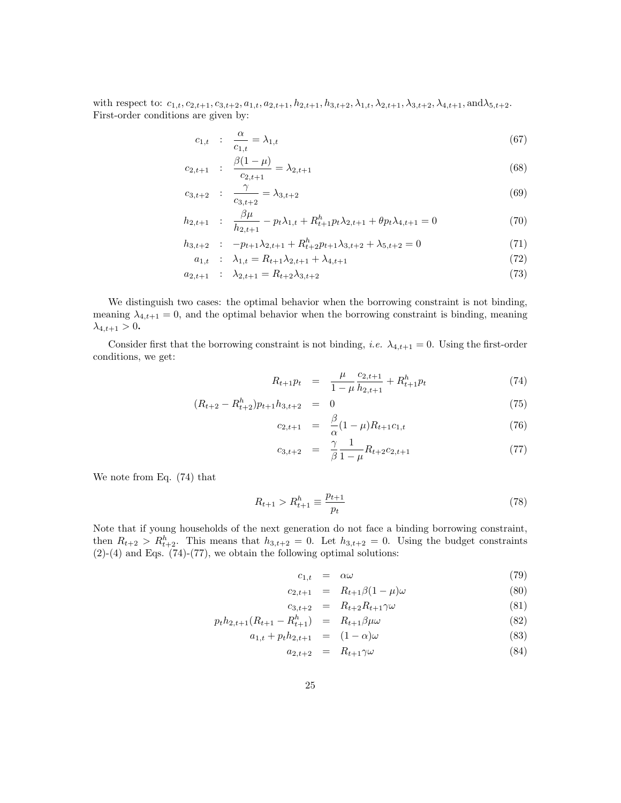with respect to:  $c_{1,t}, c_{2,t+1}, c_{3,t+2}, a_{1,t}, a_{2,t+1}, h_{2,t+1}, h_{3,t+2}, \lambda_{1,t}, \lambda_{2,t+1}, \lambda_{3,t+2}, \lambda_{4,t+1}, \text{and}\lambda_{5,t+2}.$ First-order conditions are given by:

$$
c_{1,t} : \frac{\alpha}{c_{1,t}} = \lambda_{1,t} \tag{67}
$$

$$
c_{2,t+1} : \frac{\beta(1-\mu)}{c_{2,t+1}} = \lambda_{2,t+1}
$$
\n(68)

$$
c_{3,t+2} : \frac{\gamma}{c_{3,t+2}} = \lambda_{3,t+2} \tag{69}
$$

$$
h_{2,t+1} : \frac{\beta \mu}{h_{2,t+1}} - p_t \lambda_{1,t} + R_{t+1}^h p_t \lambda_{2,t+1} + \theta p_t \lambda_{4,t+1} = 0 \tag{70}
$$

$$
h_{3,t+2} : -p_{t+1}\lambda_{2,t+1} + R_{t+2}^h p_{t+1}\lambda_{3,t+2} + \lambda_{5,t+2} = 0
$$
\n(71)

$$
a_{1,t} : \lambda_{1,t} = R_{t+1}\lambda_{2,t+1} + \lambda_{4,t+1}
$$
\n<sup>(72)</sup>

$$
a_{2,t+1} : \lambda_{2,t+1} = R_{t+2}\lambda_{3,t+2} \tag{73}
$$

We distinguish two cases: the optimal behavior when the borrowing constraint is not binding, meaning  $\lambda_{4,t+1} = 0$ , and the optimal behavior when the borrowing constraint is binding, meaning  $\lambda_{4,t+1} > 0.$ 

Consider first that the borrowing constraint is not binding, *i.e.*  $\lambda_{4,t+1} = 0$ . Using the first-order conditions, we get:

$$
R_{t+1}p_t = \frac{\mu}{1-\mu} \frac{c_{2,t+1}}{h_{2,t+1}} + R_{t+1}^h p_t \tag{74}
$$

$$
(R_{t+2} - R_{t+2}^h) p_{t+1} h_{3,t+2} = 0 \tag{75}
$$

$$
c_{2,t+1} = \frac{\beta}{\alpha} (1 - \mu) R_{t+1} c_{1,t} \tag{76}
$$

$$
c_{3,t+2} = \frac{\gamma}{\beta} \frac{1}{1-\mu} R_{t+2} c_{2,t+1} \tag{77}
$$

We note from Eq. (74) that

$$
R_{t+1} > R_{t+1}^h \equiv \frac{p_{t+1}}{p_t} \tag{78}
$$

Note that if young households of the next generation do not face a binding borrowing constraint, then  $R_{t+2} > R_{t+2}^h$ . This means that  $h_{3,t+2} = 0$ . Let  $h_{3,t+2} = 0$ . Using the budget constraints  $(2)-(4)$  and Eqs.  $(74)-(77)$ , we obtain the following optimal solutions:

$$
c_{1,t} = \alpha \omega \tag{79}
$$

$$
c_{2,t+1} = R_{t+1}\beta(1-\mu)\omega \tag{80}
$$

$$
c_{3,t+2} = R_{t+2}R_{t+1}\gamma\omega \tag{81}
$$

$$
p_t h_{2,t+1}(R_{t+1} - R_{t+1}^h) = R_{t+1} \beta \mu \omega \tag{82}
$$

$$
a_{1,t} + p_t h_{2,t+1} = (1 - \alpha)\omega \tag{83}
$$

$$
a_{2,t+2} = R_{t+1}\gamma\omega \tag{84}
$$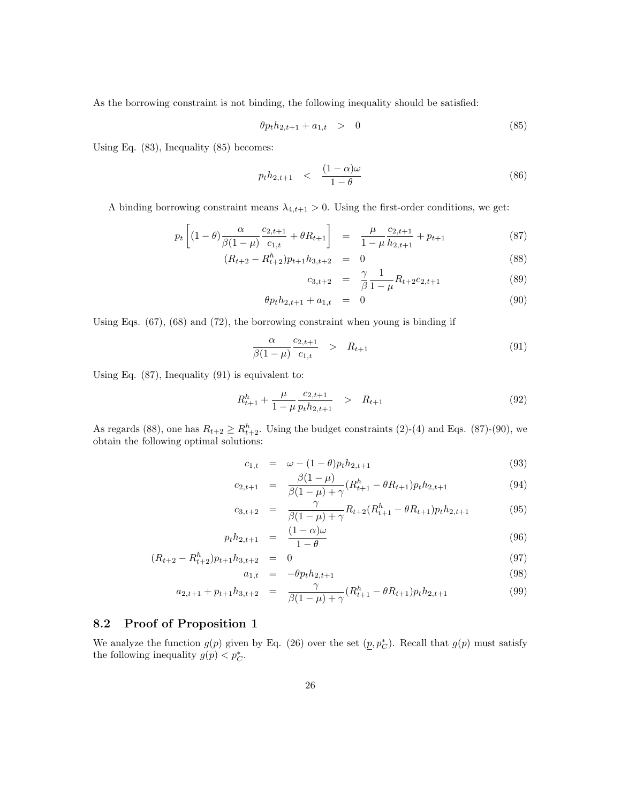As the borrowing constraint is not binding, the following inequality should be satisfied:

$$
\theta p_t h_{2,t+1} + a_{1,t} > 0 \tag{85}
$$

Using Eq. (83), Inequality (85) becomes:

$$
p_t h_{2,t+1} \quad < \quad \frac{(1-\alpha)\omega}{1-\theta} \tag{86}
$$

A binding borrowing constraint means  $\lambda_{4,t+1} > 0$ . Using the first-order conditions, we get:

$$
p_t \left[ (1 - \theta) \frac{\alpha}{\beta (1 - \mu)} \frac{c_{2,t+1}}{c_{1,t}} + \theta R_{t+1} \right] = \frac{\mu}{1 - \mu} \frac{c_{2,t+1}}{h_{2,t+1}} + p_{t+1}
$$
(87)

$$
(R_{t+2} - R_{t+2}^h) p_{t+1} h_{3,t+2} = 0
$$
\n
$$
(88)
$$

$$
c_{3,t+2} = \frac{\gamma}{\beta} \frac{1}{1-\mu} R_{t+2} c_{2,t+1}
$$
 (89)

$$
\theta p_t h_{2,t+1} + a_{1,t} = 0 \tag{90}
$$

Using Eqs. (67), (68) and (72), the borrowing constraint when young is binding if

$$
\frac{\alpha}{\beta(1-\mu)} \frac{c_{2,t+1}}{c_{1,t}} > R_{t+1}
$$
\n(91)

Using Eq. (87), Inequality (91) is equivalent to:

$$
R_{t+1}^h + \frac{\mu}{1-\mu} \frac{c_{2,t+1}}{p_t h_{2,t+1}} \quad > \quad R_{t+1} \tag{92}
$$

As regards (88), one has  $R_{t+2} \ge R_{t+2}^h$ . Using the budget constraints (2)-(4) and Eqs. (87)-(90), we obtain the following optimal solutions:

$$
c_{1,t} = \omega - (1 - \theta)p_t h_{2,t+1} \tag{93}
$$

$$
c_{2,t+1} = \frac{\beta(1-\mu)}{\beta(1-\mu)+\gamma} (R_{t+1}^h - \theta R_{t+1}) p_t h_{2,t+1}
$$
\n(94)

$$
c_{3,t+2} = \frac{\gamma}{\beta(1-\mu)+\gamma} R_{t+2} (R_{t+1}^h - \theta R_{t+1}) p_t h_{2,t+1}
$$
(95)

$$
p_t h_{2,t+1} = \frac{(1-\alpha)\omega}{1-\theta} \tag{96}
$$

$$
(R_{t+2} - R_{t+2}^h) p_{t+1} h_{3,t+2} = 0 \tag{97}
$$

$$
a_{1,t} = -\theta p_t h_{2,t+1} \tag{98}
$$

$$
a_{2,t+1} + p_{t+1}h_{3,t+2} = \frac{\gamma}{\beta(1-\mu)+\gamma}(R_{t+1}^h - \theta R_{t+1})p_th_{2,t+1}
$$
(99)

## 8.2 Proof of Proposition 1

We analyze the function  $g(p)$  given by Eq. (26) over the set  $(p, p_C^*)$ . Recall that  $g(p)$  must satisfy the following inequality  $g(p) < p_C^*$ .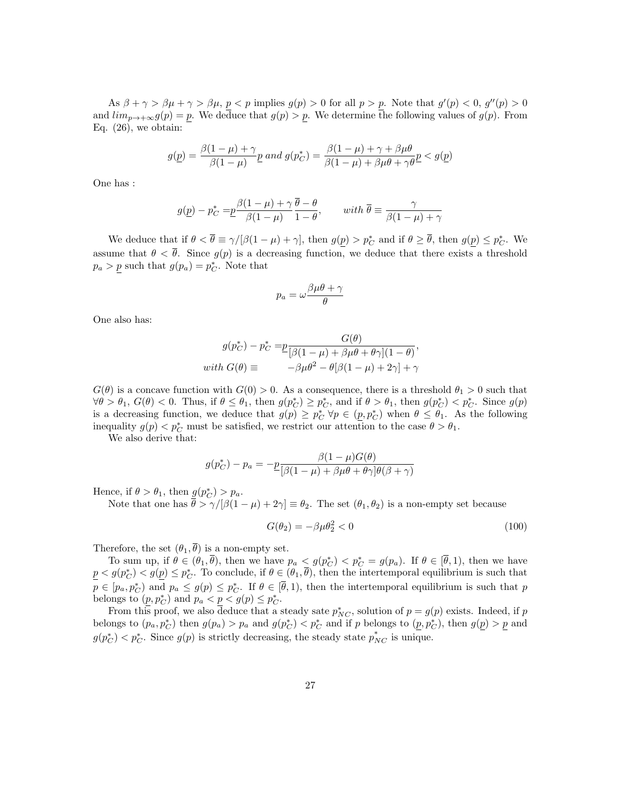As  $\beta + \gamma > \beta \mu + \gamma > \beta \mu$ ,  $p < p$  implies  $g(p) > 0$  for all  $p > p$ . Note that  $g'(p) < 0$ ,  $g''(p) > 0$ and  $\lim_{p\to+\infty}g(p)=p$ . We deduce that  $g(p)>p$ . We determine the following values of  $g(p)$ . From Eq.  $(26)$ , we obtain:

$$
g(\underline{p}) = \frac{\beta(1-\mu)+\gamma}{\beta(1-\mu)}\underline{p} \text{ and } g(p_C^*) = \frac{\beta(1-\mu)+\gamma+\beta\mu\theta}{\beta(1-\mu)+\beta\mu\theta+\gamma\theta}\underline{p} < g(\underline{p})
$$

One has :

$$
g(\underline{p}) - p_C^* = \underline{p} \frac{\beta(1-\mu) + \gamma \overline{\theta} - \theta}{\beta(1-\mu)} \quad \text{with } \overline{\theta} \equiv \frac{\gamma}{\beta(1-\mu) + \gamma}
$$

We deduce that if  $\theta < \overline{\theta} \equiv \gamma/[\beta(1-\mu)+\gamma]$ , then  $g(\underline{p}) > p_C^*$  and if  $\theta \geq \overline{\theta}$ , then  $g(\underline{p}) \leq p_C^*$ . We assume that  $\theta < \overline{\theta}$ . Since  $g(p)$  is a decreasing function, we deduce that there exists a threshold  $p_a > p$  such that  $g(p_a) = p_C^*$ . Note that

$$
p_a=\omega\frac{\beta\mu\theta+\gamma}{\theta}
$$

One also has:

$$
g(p_C^*) - p_C^* = \underline{p} \frac{G(\theta)}{[\beta(1-\mu) + \beta\mu\theta + \theta\gamma](1-\theta)},
$$
  
with 
$$
G(\theta) \equiv -\beta\mu\theta^2 - \theta[\beta(1-\mu) + 2\gamma] + \gamma
$$

 $G(\theta)$  is a concave function with  $G(0) > 0$ . As a consequence, there is a threshold  $\theta_1 > 0$  such that  $\forall \theta > \theta_1, G(\theta) < 0.$  Thus, if  $\theta \leq \theta_1$ , then  $g(p_C^*) \geq p_C^*$ , and if  $\theta > \theta_1$ , then  $g(p_C^*) < p_C^*$ . Since  $g(p)$ is a decreasing function, we deduce that  $g(p) \geq p_C^* \,\forall p \in (p, p_C^*)$  when  $\theta \leq \theta_1$ . As the following inequality  $g(p) < p_C^*$  must be satisfied, we restrict our attention to the case  $\theta > \theta_1$ .

We also derive that:

$$
g(p_C^*) - p_a = -\frac{\beta(1-\mu)G(\theta)}{\beta(1-\mu) + \beta\mu\theta + \theta\gamma\beta(\beta+\gamma)}
$$

Hence, if  $\theta > \theta_1$ , then  $g(p_C^*) > p_a$ .

Note that one has  $\bar{\theta} > \gamma/[\beta(1-\mu) + 2\gamma] \equiv \theta_2$ . The set  $(\theta_1, \theta_2)$  is a non-empty set because

$$
G(\theta_2) = -\beta \mu \theta_2^2 < 0 \tag{100}
$$

Therefore, the set  $(\theta_1, \overline{\theta})$  is a non-empty set.

To sum up, if  $\theta \in (\theta_1, \overline{\theta})$ , then we have  $p_a \leq g(p_C^*) < p_C^* = g(p_a)$ . If  $\theta \in [\overline{\theta}, 1)$ , then we have  $p \le g(p_C^*) \le g(\underline{p}) \le p_C^*$ . To conclude, if  $\theta \in (\theta_1, \overline{\theta})$ , then the intertemporal equilibrium is such that  $p \in [p_a, p_C^*)$  and  $p_a \leq g(p) \leq p_C^*$ . If  $\theta \in [\overline{\theta}, 1)$ , then the intertemporal equilibrium is such that p belongs to  $(\underline{p}, p_C^*)$  and  $p_a < \underline{p} < g(p) \leq p_C^*$ .

From this proof, we also deduce that a steady sate  $p_{NC}^*$ , solution of  $p = g(p)$  exists. Indeed, if p belongs to  $(p_a, p_C^*)$  then  $g(p_a) > p_a$  and  $g(p_C^*) < p_C^*$  and if p belongs to  $(p, p_C^*)$ , then  $g(p) > p_a$  and  $g(p_C^*) < p_C^*$ . Since  $g(p)$  is strictly decreasing, the steady state  $p_{NC}^*$  is unique.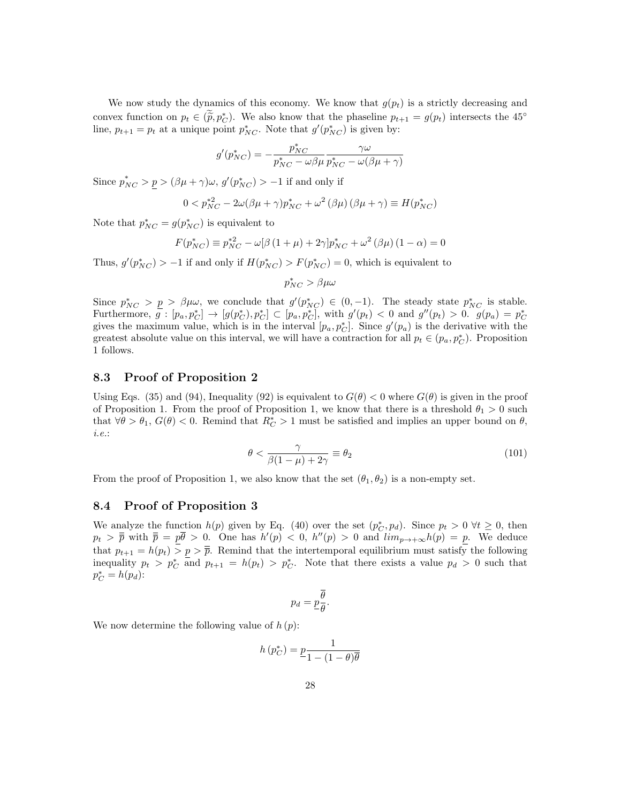We now study the dynamics of this economy. We know that  $g(p_t)$  is a strictly decreasing and convex function on  $p_t \in (\tilde{p}, p_c^*)$ . We also know that the phaseline  $p_{t+1} = g(p_t)$  intersects the 45° line,  $p_{t+1} = p_t$  at a unique point  $p_{NC}^*$ . Note that  $g'(p_{NC}^*)$  is given by:

$$
g'(p_{NC}^*)=-\frac{p_{NC}^*}{p_{NC}^*-\omega\beta\mu}\frac{\gamma\omega}{p_{NC}^*-\omega(\beta\mu+\gamma)}
$$

Since  $p_{NC}^* > p > (\beta \mu + \gamma)\omega$ ,  $g'(p_{NC}^*) > -1$  if and only if

$$
0 < p_{NC}^{*2} - 2\omega(\beta\mu + \gamma)p_{NC}^* + \omega^2(\beta\mu)(\beta\mu + \gamma) \equiv H(p_{NC}^*)
$$

Note that  $p_{NC}^* = g(p_{NC}^*)$  is equivalent to

$$
F(p_{NC}^*) \equiv p_{NC}^{*2} - \omega[\beta(1+\mu) + 2\gamma]p_{NC}^* + \omega^2(\beta\mu)(1-\alpha) = 0
$$

Thus,  $g'(p_{NC}^*) > -1$  if and only if  $H(p_{NC}^*) > F(p_{NC}^*) = 0$ , which is equivalent to

 $p_{NC}^* > \beta \mu \omega$ 

Since  $p_{NC}^* > p > \beta \mu \omega$ , we conclude that  $g'(p_{NC}^*) \in (0,-1)$ . The steady state  $p_{NC}^*$  is stable. Furthermore,  $g : [p_a, p_C^*] \to [g(p_C^*), p_C^*] \subset [p_a, p_C^*]$ , with  $g'(p_t) < 0$  and  $g''(p_t) > 0$ .  $g(p_a) = p_C^*$ gives the maximum value, which is in the interval  $[p_a, p_C^*]$ . Since  $g'(p_a)$  is the derivative with the greatest absolute value on this interval, we will have a contraction for all  $p_t \in (p_a, p_C^*)$ . Proposition 1 follows.

## 8.3 Proof of Proposition 2

Using Eqs. (35) and (94), Inequality (92) is equivalent to  $G(\theta) < 0$  where  $G(\theta)$  is given in the proof of Proposition 1. From the proof of Proposition 1, we know that there is a threshold  $\theta_1 > 0$  such that  $\forall \theta > \theta_1$ ,  $G(\theta) < 0$ . Remind that  $R_C^* > 1$  must be satisfied and implies an upper bound on  $\theta$ , i.e.:

$$
\theta < \frac{\gamma}{\beta(1-\mu)+2\gamma} \equiv \theta_2 \tag{101}
$$

From the proof of Proposition 1, we also know that the set  $(\theta_1, \theta_2)$  is a non-empty set.

## 8.4 Proof of Proposition 3

We analyze the function  $h(p)$  given by Eq. (40) over the set  $(p_C^*, p_d)$ . Since  $p_t > 0 \ \forall t \geq 0$ , then  $p_t > \overline{\overline{p}}$  with  $\overline{\overline{p}} = p\overline{\theta} > 0$ . One has  $h'(p) < 0$ ,  $h''(p) > 0$  and  $\lim_{p\to+\infty} h(p) = p$ . We deduce that  $p_{t+1} = h(p_t) > p > \overline{p}$ . Remind that the intertemporal equilibrium must satisfy the following inequality  $p_t > p_C^*$  and  $p_{t+1} = h(p_t) > p_C^*$ . Note that there exists a value  $p_d > 0$  such that  $p_C^* = h(p_d)$ :

$$
p_d = \underline{p}\frac{\overline{\theta}}{\theta}.
$$

We now determine the following value of  $h(p)$ :

$$
h\left(p_C^*\right) = \underline{p}\frac{1}{1 - (1 - \theta)\overline{\theta}}
$$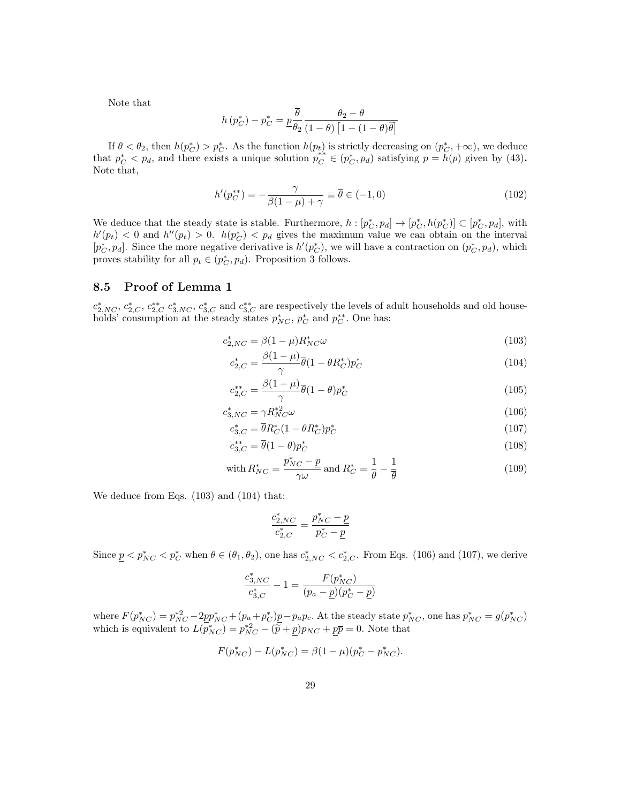Note that

$$
h\left(p_C^*\right) - p_C^* = \underline{p}\frac{\overline{\theta}}{\theta_2} \frac{\theta_2 - \theta}{(1 - \theta)\left[1 - (1 - \theta)\overline{\theta}\right]}
$$

If  $\theta < \theta_2$ , then  $h(p_C^*) > p_C^*$ . As the function  $h(p_t)$  is strictly decreasing on  $(p_C^* + \infty)$ , we deduce that  $p_C^* < p_d$ , and there exists a unique solution  $p_C^* \in (p_C^*, p_d)$  satisfying  $p = h(p)$  given by (43). Note that,

$$
h'(p_C^{**}) = -\frac{\gamma}{\beta(1-\mu)+\gamma} \equiv \overline{\theta} \in (-1,0)
$$
\n(102)

We deduce that the steady state is stable. Furthermore,  $h: [p_C^*, p_d] \to [p_C^*, h(p_C^*)] \subset [p_C^*, p_d]$ , with  $h'(p_t) < 0$  and  $h''(p_t) > 0$ .  $h(p_C^*) < p_d$  gives the maximum value we can obtain on the interval  $[p_C^*, p_d]$ . Since the more negative derivative is  $h'(p_C^*)$ , we will have a contraction on  $(p_C^*, p_d)$ , which proves stability for all  $p_t \in (p_C^*, p_d)$ . Proposition 3 follows.

### 8.5 Proof of Lemma 1

 $c_{2,NC}^*$ ,  $c_{2,C}^*$ ,  $c_{3,NC}^*$ ,  $c_{3,C}^*$  and  $c_{3,C}^{**}$  are respectively the levels of adult households and old households' consumption at the steady states  $p_{NC}^*$ ,  $p_C^*$  and  $p_C^{**}$ . One has:

$$
c_{2,NC}^* = \beta (1 - \mu) R_{NC}^* \omega \tag{103}
$$

$$
c_{2,C}^* = \frac{\beta(1-\mu)}{\gamma} \overline{\theta}(1-\theta R_C^*) p_C^* \tag{104}
$$

$$
c_{2,C}^{**} = \frac{\beta(1-\mu)}{\gamma} \overline{\theta}(1-\theta)p_C^*
$$
\n(105)

$$
c_{3,NC}^* = \gamma R_{NC}^{*2} \omega \tag{106}
$$

$$
c_{3,C}^* = \bar{\theta} R_C^*(1 - \theta R_C^*) p_C^* \tag{107}
$$

$$
c_{3,C}^{**} = \overline{\theta}(1-\theta)p_C^*
$$
\n<sup>(108)</sup>

with 
$$
R_{NC}^* = \frac{p_{NC}^* - p}{\gamma \omega}
$$
 and  $R_C^* = \frac{1}{\theta} - \frac{1}{\overline{\theta}}$  (109)

We deduce from Eqs. (103) and (104) that:

$$
\frac{c_{2,NC}^*}{c_{2,C}^*}=\frac{p_{NC}^*-\underline{p}}{p_C^*-\underline{p}}
$$

Since  $\underline{p} < p_{NC}^* < p_C^*$  when  $\theta \in (\theta_1, \theta_2)$ , one has  $c_{2,NC}^* < c_{2,C}^*$ . From Eqs. (106) and (107), we derive

$$
\frac{c_{3,NC}^*}{c_{3,C}^*} - 1 = \frac{F(p_{NC}^*)}{(p_a - \underline{p})(p_C^* - \underline{p})}
$$

where  $F(p_{NC}^*) = p_{NC}^{*2} - 2p_{NC}^* + (p_a + p_C^*)\underline{p} - p_a p_c$ . At the steady state  $p_{NC}^*$ , one has  $p_{NC}^* = g(p_{NC}^*)$ which is equivalent to  $L(p_{NC}^*) = p_{NC}^{*2} - (\tilde{p} + \underline{p})p_{NC} + \underline{p}\overline{p} = 0$ . Note that

$$
F(p_{NC}^*) - L(p_{NC}^*) = \beta(1 - \mu)(p_C^* - p_{NC}^*).
$$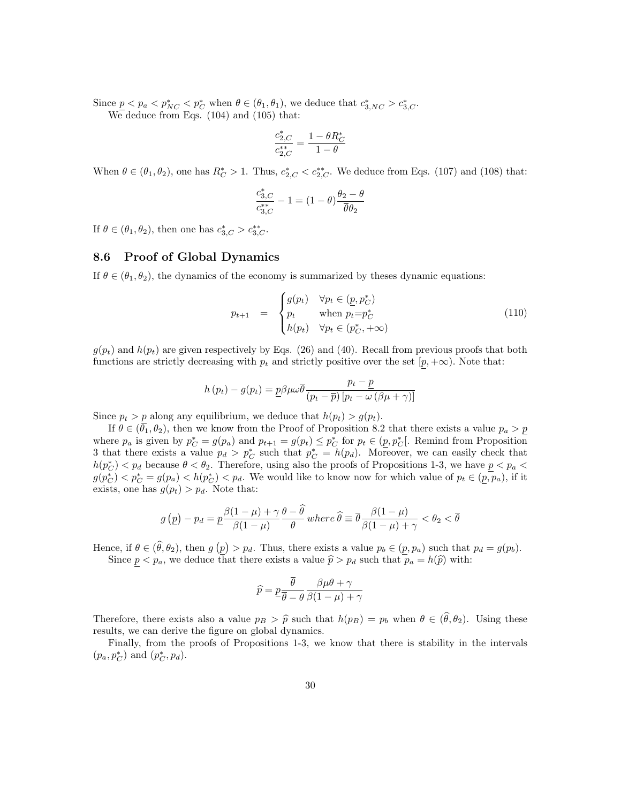Since  $\underline{p} < p_a < p_{NC}^* < p_C^*$  when  $\theta \in (\theta_1, \theta_1)$ , we deduce that  $c_{3,NC}^* > c_{3,C}^*$ .

We deduce from Eqs. (104) and (105) that:

$$
\frac{c_{2,C}^*}{c_{2,C}^{**}} = \frac{1-\theta R_C^*}{1-\theta}
$$

When  $\theta \in (\theta_1, \theta_2)$ , one has  $R_C^* > 1$ . Thus,  $c_{2,C}^* < c_{2,C}^{**}$ . We deduce from Eqs. (107) and (108) that:

$$
\frac{c_{3,C}^*}{c_{3,C}^{**}}-1=(1-\theta)\frac{\theta_2-\theta}{\overline{\theta}\theta_2}
$$

If  $\theta \in (\theta_1, \theta_2)$ , then one has  $c_{3,C}^* > c_{3,C}^{**}$ .

## 8.6 Proof of Global Dynamics

If  $\theta \in (\theta_1, \theta_2)$ , the dynamics of the economy is summarized by theses dynamic equations:

$$
p_{t+1} = \begin{cases} g(p_t) & \forall p_t \in (\underline{p}, p_C^*) \\ p_t & \text{when } p_t = p_C^* \\ h(p_t) & \forall p_t \in (p_C^*, +\infty) \end{cases}
$$
(110)

 $g(p_t)$  and  $h(p_t)$  are given respectively by Eqs. (26) and (40). Recall from previous proofs that both functions are strictly decreasing with  $p_t$  and strictly positive over the set  $[p, +\infty)$ . Note that:

$$
h(p_t) - g(p_t) = \underline{p}\beta\mu\omega\overline{\theta}\frac{p_t - \underline{p}}{(p_t - \overline{p})\left[p_t - \omega\left(\beta\mu + \gamma\right)\right]}
$$

Since  $p_t > p$  along any equilibrium, we deduce that  $h(p_t) > g(p_t)$ .

If  $\theta \in (\bar{\theta}_1, \theta_2)$ , then we know from the Proof of Proposition 8.2 that there exists a value  $p_a > p$ where  $p_a$  is given by  $p_C^* = g(p_a)$  and  $p_{t+1} = g(p_t) \leq p_C^*$  for  $p_t \in (p, p_C^*]$ . Remind from Proposition 3 that there exists a value  $p_d > p_C^*$  such that  $p_C^* = h(p_d)$ . Moreover, we can easily check that  $h(p_C^*) < p_d$  because  $\theta < \theta_2$ . Therefore, using also the proofs of Propositions 1-3, we have  $p < p_a$  $g(p_C^*) < p_C^* = g(p_a) < h(p_C^*) < p_d$ . We would like to know now for which value of  $p_t \in (\overline{p}, \overline{p}_a)$ , if it exists, one has  $g(p_t) > p_d$ . Note that:

$$
g(p) - p_d = p\frac{\beta(1-\mu) + \gamma}{\beta(1-\mu)} \frac{\theta - \theta}{\theta} where \hat{\theta} \equiv \overline{\theta} \frac{\beta(1-\mu)}{\beta(1-\mu) + \gamma} < \theta_2 < \overline{\theta}
$$

Hence, if  $\theta \in (\theta, \theta_2)$ , then  $g(p) > p_d$ . Thus, there exists a value  $p_b \in (p, p_a)$  such that  $p_d = g(p_b)$ .

Since  $p < p_a$ , we deduce that there exists a value  $\hat{p} > p_d$  such that  $p_a = h(\hat{p})$  with:

$$
\widehat{p} = \underbrace{p \frac{\theta}{\overline{\theta} - \theta} \frac{\beta \mu \theta + \gamma}{\beta (1 - \mu) + \gamma}}
$$

Therefore, there exists also a value  $p_B > \hat{p}$  such that  $h(p_B) = p_b$  when  $\theta \in (\hat{\theta}, \theta_2)$ . Using these results, we can derive the figure on global dynamics.

Finally, from the proofs of Propositions 1-3, we know that there is stability in the intervals  $(p_a, p_C^*)$  and  $(p_C^*, p_d)$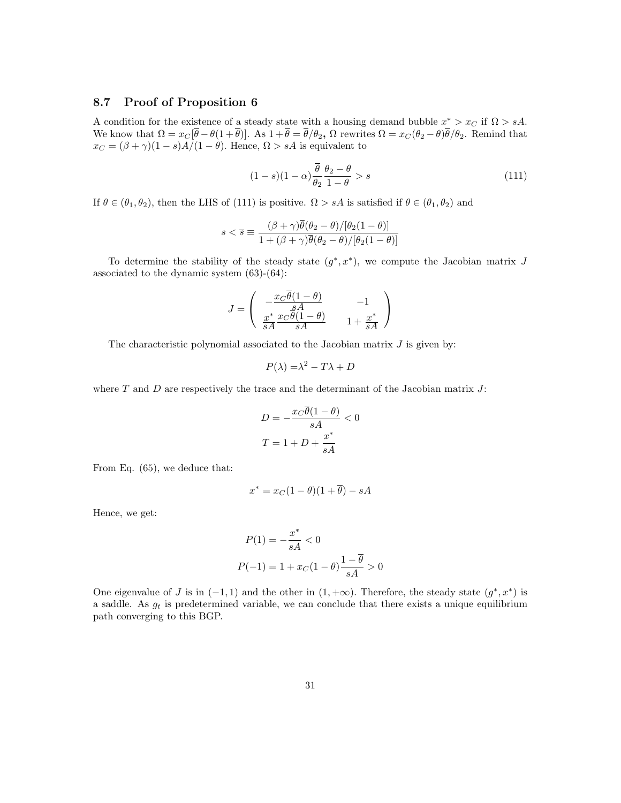## 8.7 Proof of Proposition 6

A condition for the existence of a steady state with a housing demand bubble  $x^* > x_C$  if  $\Omega > sA$ . We know that  $\Omega = x_C[\overline{\theta} - \theta(1 + \overline{\theta})]$ . As  $1 + \overline{\theta} = \overline{\theta}/\theta_2$ ,  $\Omega$  rewrites  $\Omega = x_C(\theta_2 - \theta)\overline{\theta}/\theta_2$ . Remind that  $x_C = (\beta + \gamma)(1 - s)\tilde{A}/(1 - \theta)$ . Hence,  $\Omega > sA$  is equivalent to

$$
(1-s)(1-\alpha)\frac{\overline{\theta}}{\theta_2}\frac{\theta_2-\theta}{1-\theta} > s
$$
\n(111)

If  $\theta \in (\theta_1, \theta_2)$ , then the LHS of (111) is positive.  $\Omega > sA$  is satisfied if  $\theta \in (\theta_1, \theta_2)$  and

$$
s < \overline{s} \equiv \frac{(\beta + \gamma)\overline{\theta}(\theta_2 - \theta)/[\theta_2(1 - \theta)]}{1 + (\beta + \gamma)\overline{\theta}(\theta_2 - \theta)/[\theta_2(1 - \theta)]}
$$

To determine the stability of the steady state  $(g^*, x^*)$ , we compute the Jacobian matrix J associated to the dynamic system (63)-(64):

$$
J=\left(\begin{array}{cc} -\frac{x_{C}\overline{\theta}(1-\theta)}{sA} & -1\\ \frac{x^*}{sA}\frac{x_{C}\overline{\theta}(1-\theta)}{sA} & 1+\frac{x^*}{sA} \end{array}\right)
$$

The characteristic polynomial associated to the Jacobian matrix  $J$  is given by:

$$
P(\lambda) = \lambda^2 - T\lambda + D
$$

where  $T$  and  $D$  are respectively the trace and the determinant of the Jacobian matrix  $J$ :

$$
D = -\frac{x_C \overline{\theta}(1 - \theta)}{sA} < 0
$$
\n
$$
T = 1 + D + \frac{x^*}{sA}
$$

From Eq. (65), we deduce that:

$$
x^* = x_C(1 - \theta)(1 + \overline{\theta}) - sA
$$

Hence, we get:

$$
P(1) = -\frac{x^*}{sA} < 0
$$
\n
$$
P(-1) = 1 + x_C(1 - \theta) \frac{1 - \overline{\theta}}{sA} > 0
$$

One eigenvalue of J is in  $(-1,1)$  and the other in  $(1,+\infty)$ . Therefore, the steady state  $(g^*,x^*)$  is a saddle. As  $g_t$  is predetermined variable, we can conclude that there exists a unique equilibrium path converging to this BGP.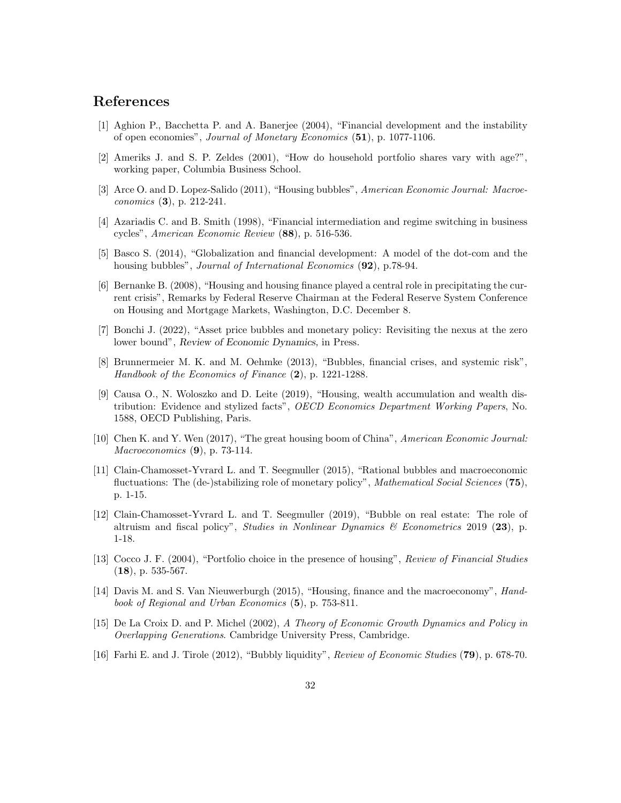# References

- [1] Aghion P., Bacchetta P. and A. Banerjee (2004), "Financial development and the instability of open economies", Journal of Monetary Economics (51), p. 1077-1106.
- [2] Ameriks J. and S. P. Zeldes (2001), "How do household portfolio shares vary with age?", working paper, Columbia Business School.
- [3] Arce O. and D. Lopez-Salido (2011), "Housing bubbles", American Economic Journal: Macroeconomics (3), p. 212-241.
- [4] Azariadis C. and B. Smith (1998), "Financial intermediation and regime switching in business cycles", American Economic Review (88), p. 516-536.
- [5] Basco S. (2014), "Globalization and financial development: A model of the dot-com and the housing bubbles", *Journal of International Economics* (92), p.78-94.
- [6] Bernanke B. (2008), "Housing and housing finance played a central role in precipitating the current crisis", Remarks by Federal Reserve Chairman at the Federal Reserve System Conference on Housing and Mortgage Markets, Washington, D.C. December 8.
- [7] Bonchi J. (2022), "Asset price bubbles and monetary policy: Revisiting the nexus at the zero lower bound", Review of Economic Dynamics, in Press.
- [8] Brunnermeier M. K. and M. Oehmke (2013), "Bubbles, financial crises, and systemic risk", Handbook of the Economics of Finance (2), p. 1221-1288.
- [9] Causa O., N. Woloszko and D. Leite (2019), "Housing, wealth accumulation and wealth distribution: Evidence and stylized facts", OECD Economics Department Working Papers, No. 1588, OECD Publishing, Paris.
- [10] Chen K. and Y. Wen (2017), "The great housing boom of China", American Economic Journal: Macroeconomics **(9)**, p. 73-114.
- [11] Clain-Chamosset-Yvrard L. and T. Seegmuller (2015), "Rational bubbles and macroeconomic fluctuations: The (de-)stabilizing role of monetary policy", *Mathematical Social Sciences* (75), p. 1-15.
- [12] Clain-Chamosset-Yvrard L. and T. Seegmuller (2019), "Bubble on real estate: The role of altruism and fiscal policy", *Studies in Nonlinear Dynamics*  $\mathscr$  *Econometrics* 2019 (23), p. 1-18.
- [13] Cocco J. F. (2004), "Portfolio choice in the presence of housing", Review of Financial Studies  $(18)$ , p. 535-567.
- [14] Davis M. and S. Van Nieuwerburgh (2015), "Housing, finance and the macroeconomy", Handbook of Regional and Urban Economics (5), p. 753-811.
- [15] De La Croix D. and P. Michel (2002), A Theory of Economic Growth Dynamics and Policy in Overlapping Generations. Cambridge University Press, Cambridge.
- [16] Farhi E. and J. Tirole (2012), "Bubbly liquidity", Review of Economic Studies (79), p. 678-70.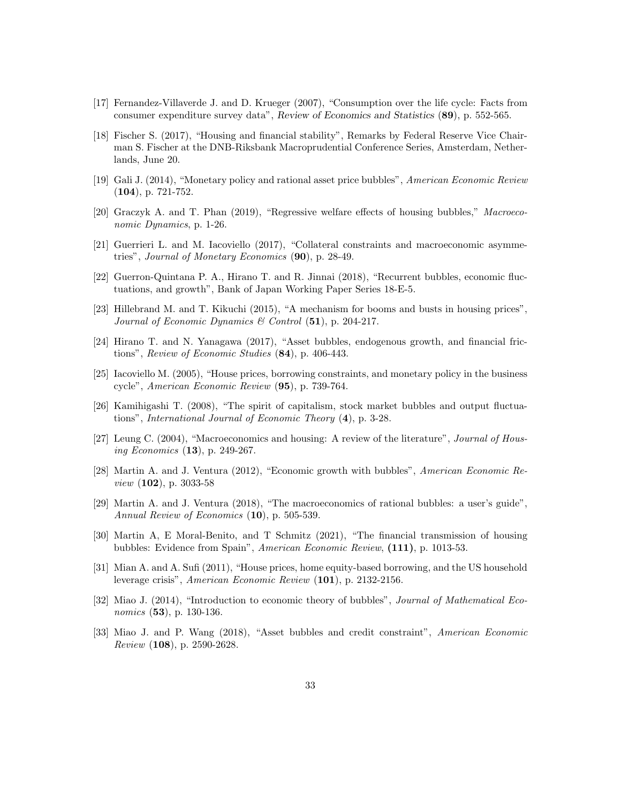- [17] Fernandez-Villaverde J. and D. Krueger (2007), "Consumption over the life cycle: Facts from consumer expenditure survey data", Review of Economics and Statistics (89), p. 552-565.
- [18] Fischer S. (2017), "Housing and financial stability", Remarks by Federal Reserve Vice Chairman S. Fischer at the DNB-Riksbank Macroprudential Conference Series, Amsterdam, Netherlands, June 20.
- [19] Gali J. (2014), "Monetary policy and rational asset price bubbles", American Economic Review (104), p. 721-752.
- [20] Graczyk A. and T. Phan (2019), "Regressive welfare effects of housing bubbles," Macroeconomic Dynamics, p. 1-26.
- [21] Guerrieri L. and M. Iacoviello (2017), "Collateral constraints and macroeconomic asymmetries", Journal of Monetary Economics (90), p. 28-49.
- [22] Guerron-Quintana P. A., Hirano T. and R. Jinnai (2018), "Recurrent bubbles, economic fluctuations, and growth", Bank of Japan Working Paper Series 18-E-5.
- [23] Hillebrand M. and T. Kikuchi (2015), "A mechanism for booms and busts in housing prices", Journal of Economic Dynamics & Control  $(51)$ , p. 204-217.
- [24] Hirano T. and N. Yanagawa (2017), "Asset bubbles, endogenous growth, and financial frictions", Review of Economic Studies (84), p. 406-443.
- [25] Iacoviello M. (2005), "House prices, borrowing constraints, and monetary policy in the business cycle", American Economic Review (95), p. 739-764.
- [26] Kamihigashi T. (2008), "The spirit of capitalism, stock market bubbles and output fluctuations", International Journal of Economic Theory (4), p. 3-28.
- [27] Leung C. (2004), "Macroeconomics and housing: A review of the literature", Journal of Housing Economics (13), p. 249-267.
- [28] Martin A. and J. Ventura (2012), "Economic growth with bubbles", American Economic Review (102), p. 3033-58
- [29] Martin A. and J. Ventura (2018), "The macroeconomics of rational bubbles: a user's guide", Annual Review of Economics (10), p. 505-539.
- [30] Martin A, E Moral-Benito, and T Schmitz (2021), "The financial transmission of housing bubbles: Evidence from Spain", American Economic Review, (111), p. 1013-53.
- [31] Mian A. and A. Sufi (2011), "House prices, home equity-based borrowing, and the US household leverage crisis", American Economic Review (101), p. 2132-2156.
- [32] Miao J. (2014), "Introduction to economic theory of bubbles", Journal of Mathematical Economics (53), p. 130-136.
- [33] Miao J. and P. Wang (2018), "Asset bubbles and credit constraint", American Economic Review (108), p. 2590-2628.